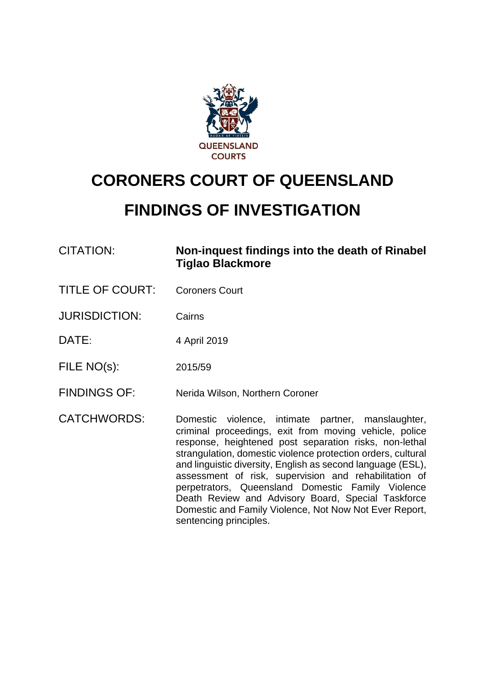

# **CORONERS COURT OF QUEENSLAND**

# **FINDINGS OF INVESTIGATION**

| CITATION:              | Non-inquest findings into the death of Rinabel<br>Tiglao Blackmore                                                                                                                                                                                                                                                                                                                                                                                                        |  |
|------------------------|---------------------------------------------------------------------------------------------------------------------------------------------------------------------------------------------------------------------------------------------------------------------------------------------------------------------------------------------------------------------------------------------------------------------------------------------------------------------------|--|
| <b>TITLE OF COURT:</b> | <b>Coroners Court</b>                                                                                                                                                                                                                                                                                                                                                                                                                                                     |  |
| <b>JURISDICTION:</b>   | Cairns                                                                                                                                                                                                                                                                                                                                                                                                                                                                    |  |
| DATE:                  | 4 April 2019                                                                                                                                                                                                                                                                                                                                                                                                                                                              |  |
| FILE NO(s):            | 2015/59                                                                                                                                                                                                                                                                                                                                                                                                                                                                   |  |
| <b>FINDINGS OF:</b>    | Nerida Wilson, Northern Coroner                                                                                                                                                                                                                                                                                                                                                                                                                                           |  |
| <b>CATCHWORDS:</b>     | Domestic violence, intimate partner, manslaughter,<br>criminal proceedings, exit from moving vehicle, police<br>response, heightened post separation risks, non-lethal<br>strangulation, domestic violence protection orders, cultural<br>and linguistic diversity, English as second language (ESL),<br>assessment of risk, supervision and rehabilitation of<br>perpetrators, Queensland Domestic Family Violence<br>Death Review and Advisory Board, Special Taskforce |  |

sentencing principles.

Domestic and Family Violence, Not Now Not Ever Report,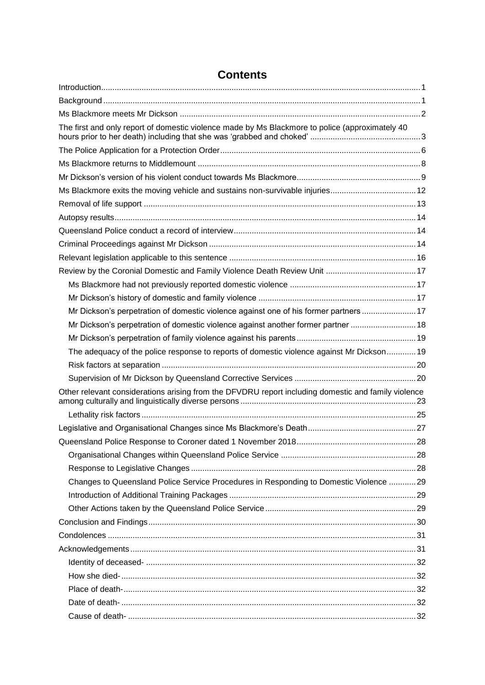| The first and only report of domestic violence made by Ms Blackmore to police (approximately 40     |  |
|-----------------------------------------------------------------------------------------------------|--|
|                                                                                                     |  |
|                                                                                                     |  |
|                                                                                                     |  |
| Ms Blackmore exits the moving vehicle and sustains non-survivable injuries12                        |  |
|                                                                                                     |  |
|                                                                                                     |  |
|                                                                                                     |  |
|                                                                                                     |  |
|                                                                                                     |  |
|                                                                                                     |  |
|                                                                                                     |  |
|                                                                                                     |  |
| Mr Dickson's perpetration of domestic violence against one of his former partners  17               |  |
| Mr Dickson's perpetration of domestic violence against another former partner  18                   |  |
|                                                                                                     |  |
| The adequacy of the police response to reports of domestic violence against Mr Dickson 19           |  |
|                                                                                                     |  |
|                                                                                                     |  |
| Other relevant considerations arising from the DFVDRU report including domestic and family violence |  |
|                                                                                                     |  |
|                                                                                                     |  |
|                                                                                                     |  |
|                                                                                                     |  |
|                                                                                                     |  |
| Changes to Queensland Police Service Procedures in Responding to Domestic Violence 29               |  |
|                                                                                                     |  |
|                                                                                                     |  |
|                                                                                                     |  |
|                                                                                                     |  |
|                                                                                                     |  |
|                                                                                                     |  |
|                                                                                                     |  |
|                                                                                                     |  |
|                                                                                                     |  |
|                                                                                                     |  |

# **Contents**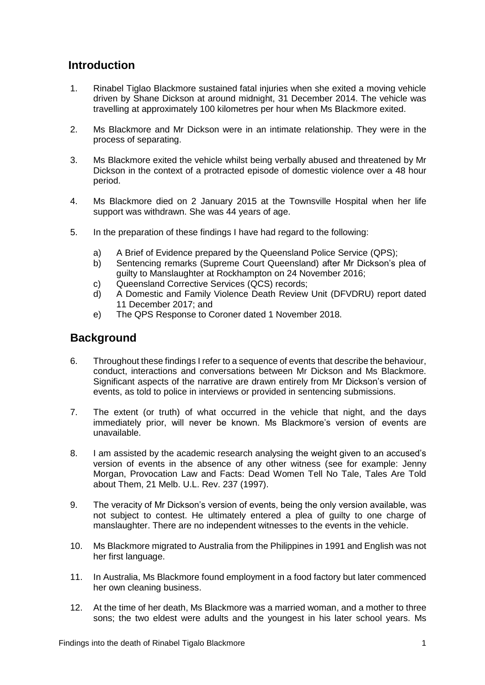# <span id="page-2-0"></span>**Introduction**

- 1. Rinabel Tiglao Blackmore sustained fatal injuries when she exited a moving vehicle driven by Shane Dickson at around midnight, 31 December 2014. The vehicle was travelling at approximately 100 kilometres per hour when Ms Blackmore exited.
- 2. Ms Blackmore and Mr Dickson were in an intimate relationship. They were in the process of separating.
- 3. Ms Blackmore exited the vehicle whilst being verbally abused and threatened by Mr Dickson in the context of a protracted episode of domestic violence over a 48 hour period.
- 4. Ms Blackmore died on 2 January 2015 at the Townsville Hospital when her life support was withdrawn. She was 44 years of age.
- 5. In the preparation of these findings I have had regard to the following:
	- a) A Brief of Evidence prepared by the Queensland Police Service (QPS);
	- b) Sentencing remarks (Supreme Court Queensland) after Mr Dickson's plea of guilty to Manslaughter at Rockhampton on 24 November 2016;
	- c) Queensland Corrective Services (QCS) records;
	- d) A Domestic and Family Violence Death Review Unit (DFVDRU) report dated 11 December 2017; and
	- e) The QPS Response to Coroner dated 1 November 2018.

# <span id="page-2-1"></span>**Background**

- 6. Throughout these findings I refer to a sequence of events that describe the behaviour, conduct, interactions and conversations between Mr Dickson and Ms Blackmore. Significant aspects of the narrative are drawn entirely from Mr Dickson's version of events, as told to police in interviews or provided in sentencing submissions.
- 7. The extent (or truth) of what occurred in the vehicle that night, and the days immediately prior, will never be known. Ms Blackmore's version of events are unavailable.
- 8. I am assisted by the academic research analysing the weight given to an accused's version of events in the absence of any other witness (see for example: Jenny Morgan, Provocation Law and Facts: Dead Women Tell No Tale, Tales Are Told about Them, 21 Melb. U.L. Rev. 237 (1997).
- 9. The veracity of Mr Dickson's version of events, being the only version available, was not subject to contest. He ultimately entered a plea of guilty to one charge of manslaughter. There are no independent witnesses to the events in the vehicle.
- 10. Ms Blackmore migrated to Australia from the Philippines in 1991 and English was not her first language.
- 11. In Australia, Ms Blackmore found employment in a food factory but later commenced her own cleaning business.
- 12. At the time of her death, Ms Blackmore was a married woman, and a mother to three sons; the two eldest were adults and the youngest in his later school years. Ms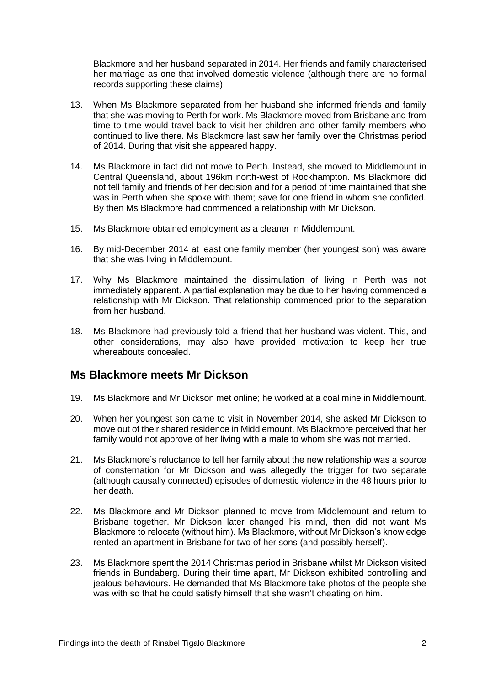Blackmore and her husband separated in 2014. Her friends and family characterised her marriage as one that involved domestic violence (although there are no formal records supporting these claims).

- 13. When Ms Blackmore separated from her husband she informed friends and family that she was moving to Perth for work. Ms Blackmore moved from Brisbane and from time to time would travel back to visit her children and other family members who continued to live there. Ms Blackmore last saw her family over the Christmas period of 2014. During that visit she appeared happy.
- 14. Ms Blackmore in fact did not move to Perth. Instead, she moved to Middlemount in Central Queensland, about 196km north-west of Rockhampton. Ms Blackmore did not tell family and friends of her decision and for a period of time maintained that she was in Perth when she spoke with them; save for one friend in whom she confided. By then Ms Blackmore had commenced a relationship with Mr Dickson.
- 15. Ms Blackmore obtained employment as a cleaner in Middlemount.
- 16. By mid-December 2014 at least one family member (her youngest son) was aware that she was living in Middlemount.
- 17. Why Ms Blackmore maintained the dissimulation of living in Perth was not immediately apparent. A partial explanation may be due to her having commenced a relationship with Mr Dickson. That relationship commenced prior to the separation from her husband.
- 18. Ms Blackmore had previously told a friend that her husband was violent. This, and other considerations, may also have provided motivation to keep her true whereabouts concealed.

# <span id="page-3-0"></span>**Ms Blackmore meets Mr Dickson**

- 19. Ms Blackmore and Mr Dickson met online; he worked at a coal mine in Middlemount.
- 20. When her youngest son came to visit in November 2014, she asked Mr Dickson to move out of their shared residence in Middlemount. Ms Blackmore perceived that her family would not approve of her living with a male to whom she was not married.
- 21. Ms Blackmore's reluctance to tell her family about the new relationship was a source of consternation for Mr Dickson and was allegedly the trigger for two separate (although causally connected) episodes of domestic violence in the 48 hours prior to her death.
- 22. Ms Blackmore and Mr Dickson planned to move from Middlemount and return to Brisbane together. Mr Dickson later changed his mind, then did not want Ms Blackmore to relocate (without him). Ms Blackmore, without Mr Dickson's knowledge rented an apartment in Brisbane for two of her sons (and possibly herself).
- 23. Ms Blackmore spent the 2014 Christmas period in Brisbane whilst Mr Dickson visited friends in Bundaberg. During their time apart, Mr Dickson exhibited controlling and jealous behaviours. He demanded that Ms Blackmore take photos of the people she was with so that he could satisfy himself that she wasn't cheating on him.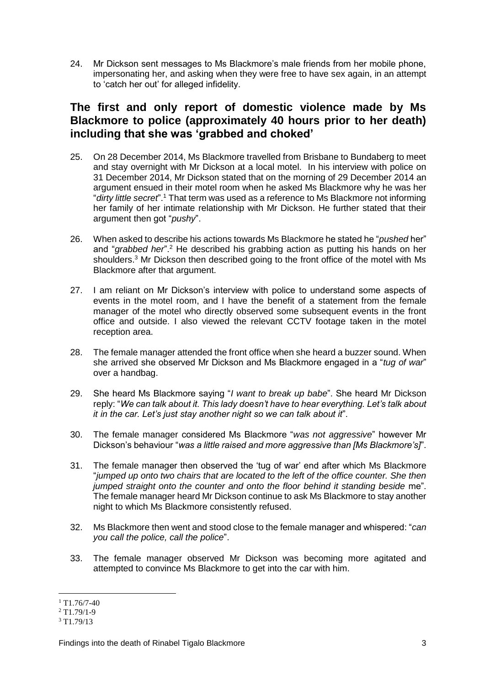24. Mr Dickson sent messages to Ms Blackmore's male friends from her mobile phone, impersonating her, and asking when they were free to have sex again, in an attempt to 'catch her out' for alleged infidelity.

# <span id="page-4-0"></span>**The first and only report of domestic violence made by Ms Blackmore to police (approximately 40 hours prior to her death) including that she was 'grabbed and choked'**

- 25. On 28 December 2014, Ms Blackmore travelled from Brisbane to Bundaberg to meet and stay overnight with Mr Dickson at a local motel. In his interview with police on 31 December 2014, Mr Dickson stated that on the morning of 29 December 2014 an argument ensued in their motel room when he asked Ms Blackmore why he was her "*dirty little secret*".<sup>1</sup> That term was used as a reference to Ms Blackmore not informing her family of her intimate relationship with Mr Dickson. He further stated that their argument then got "*pushy*".
- 26. When asked to describe his actions towards Ms Blackmore he stated he "*pushed* her" and "*grabbed her*".<sup>2</sup> He described his grabbing action as putting his hands on her shoulders.<sup>3</sup> Mr Dickson then described going to the front office of the motel with Ms Blackmore after that argument.
- 27. I am reliant on Mr Dickson's interview with police to understand some aspects of events in the motel room, and I have the benefit of a statement from the female manager of the motel who directly observed some subsequent events in the front office and outside. I also viewed the relevant CCTV footage taken in the motel reception area.
- 28. The female manager attended the front office when she heard a buzzer sound. When she arrived she observed Mr Dickson and Ms Blackmore engaged in a "*tug of war*" over a handbag.
- 29. She heard Ms Blackmore saying "*I want to break up babe*". She heard Mr Dickson reply: "*We can talk about it. This lady doesn't have to hear everything. Let's talk about it in the car. Let's just stay another night so we can talk about it*".
- 30. The female manager considered Ms Blackmore "*was not aggressive*" however Mr Dickson's behaviour "*was a little raised and more aggressive than [Ms Blackmore's]*".
- 31. The female manager then observed the 'tug of war' end after which Ms Blackmore "*jumped up onto two chairs that are located to the left of the office counter. She then jumped straight onto the counter and onto the floor behind it standing beside* me". The female manager heard Mr Dickson continue to ask Ms Blackmore to stay another night to which Ms Blackmore consistently refused.
- 32. Ms Blackmore then went and stood close to the female manager and whispered: "*can you call the police, call the police*".
- 33. The female manager observed Mr Dickson was becoming more agitated and attempted to convince Ms Blackmore to get into the car with him.

<sup>&</sup>lt;u>.</u>  $1$  T1.76/7-40

 $2$  T<sub>1</sub>.79/1<sub>-9</sub>

<sup>3</sup> T1.79/13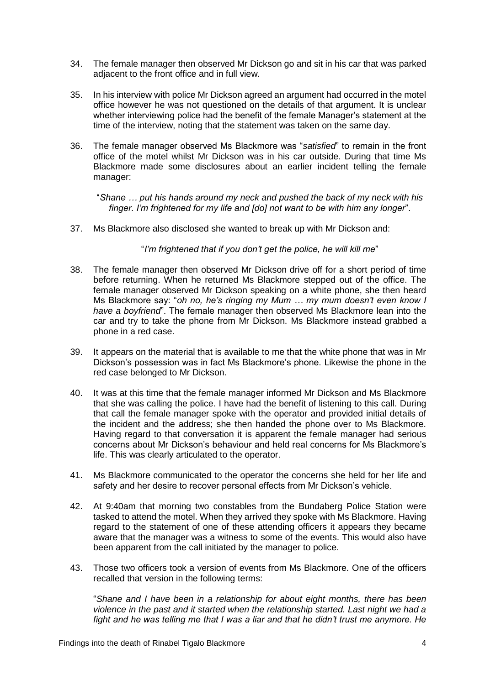- 34. The female manager then observed Mr Dickson go and sit in his car that was parked adjacent to the front office and in full view.
- 35. In his interview with police Mr Dickson agreed an argument had occurred in the motel office however he was not questioned on the details of that argument. It is unclear whether interviewing police had the benefit of the female Manager's statement at the time of the interview, noting that the statement was taken on the same day.
- 36. The female manager observed Ms Blackmore was "*satisfied*" to remain in the front office of the motel whilst Mr Dickson was in his car outside. During that time Ms Blackmore made some disclosures about an earlier incident telling the female manager:

"*Shane … put his hands around my neck and pushed the back of my neck with his finger. I'm frightened for my life and [do] not want to be with him any longer*".

37. Ms Blackmore also disclosed she wanted to break up with Mr Dickson and:

"*I'm frightened that if you don't get the police, he will kill me*"

- 38. The female manager then observed Mr Dickson drive off for a short period of time before returning. When he returned Ms Blackmore stepped out of the office. The female manager observed Mr Dickson speaking on a white phone, she then heard Ms Blackmore say: "*oh no, he's ringing my Mum … my mum doesn't even know I have a boyfriend*". The female manager then observed Ms Blackmore lean into the car and try to take the phone from Mr Dickson. Ms Blackmore instead grabbed a phone in a red case.
- 39. It appears on the material that is available to me that the white phone that was in Mr Dickson's possession was in fact Ms Blackmore's phone. Likewise the phone in the red case belonged to Mr Dickson.
- 40. It was at this time that the female manager informed Mr Dickson and Ms Blackmore that she was calling the police. I have had the benefit of listening to this call. During that call the female manager spoke with the operator and provided initial details of the incident and the address; she then handed the phone over to Ms Blackmore. Having regard to that conversation it is apparent the female manager had serious concerns about Mr Dickson's behaviour and held real concerns for Ms Blackmore's life. This was clearly articulated to the operator.
- 41. Ms Blackmore communicated to the operator the concerns she held for her life and safety and her desire to recover personal effects from Mr Dickson's vehicle.
- 42. At 9:40am that morning two constables from the Bundaberg Police Station were tasked to attend the motel. When they arrived they spoke with Ms Blackmore. Having regard to the statement of one of these attending officers it appears they became aware that the manager was a witness to some of the events. This would also have been apparent from the call initiated by the manager to police.
- 43. Those two officers took a version of events from Ms Blackmore. One of the officers recalled that version in the following terms:

"*Shane and I have been in a relationship for about eight months, there has been violence in the past and it started when the relationship started. Last night we had a fight and he was telling me that I was a liar and that he didn't trust me anymore. He*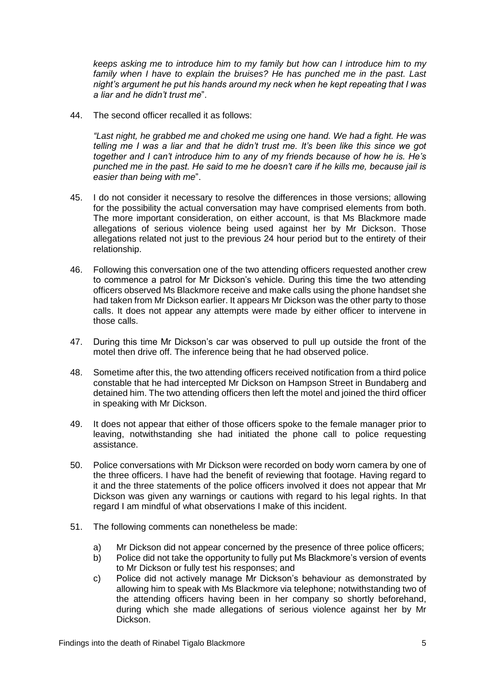*keeps asking me to introduce him to my family but how can I introduce him to my family when I have to explain the bruises? He has punched me in the past. Last night's argument he put his hands around my neck when he kept repeating that I was a liar and he didn't trust me*".

44. The second officer recalled it as follows:

*"Last night, he grabbed me and choked me using one hand. We had a fight. He was telling me I was a liar and that he didn't trust me. It's been like this since we got together and I can't introduce him to any of my friends because of how he is. He's punched me in the past. He said to me he doesn't care if he kills me, because jail is easier than being with me*".

- 45. I do not consider it necessary to resolve the differences in those versions; allowing for the possibility the actual conversation may have comprised elements from both. The more important consideration, on either account, is that Ms Blackmore made allegations of serious violence being used against her by Mr Dickson. Those allegations related not just to the previous 24 hour period but to the entirety of their relationship.
- 46. Following this conversation one of the two attending officers requested another crew to commence a patrol for Mr Dickson's vehicle. During this time the two attending officers observed Ms Blackmore receive and make calls using the phone handset she had taken from Mr Dickson earlier. It appears Mr Dickson was the other party to those calls. It does not appear any attempts were made by either officer to intervene in those calls.
- 47. During this time Mr Dickson's car was observed to pull up outside the front of the motel then drive off. The inference being that he had observed police.
- 48. Sometime after this, the two attending officers received notification from a third police constable that he had intercepted Mr Dickson on Hampson Street in Bundaberg and detained him. The two attending officers then left the motel and joined the third officer in speaking with Mr Dickson.
- 49. It does not appear that either of those officers spoke to the female manager prior to leaving, notwithstanding she had initiated the phone call to police requesting assistance.
- 50. Police conversations with Mr Dickson were recorded on body worn camera by one of the three officers. I have had the benefit of reviewing that footage. Having regard to it and the three statements of the police officers involved it does not appear that Mr Dickson was given any warnings or cautions with regard to his legal rights. In that regard I am mindful of what observations I make of this incident.
- 51. The following comments can nonetheless be made:
	- a) Mr Dickson did not appear concerned by the presence of three police officers;
	- b) Police did not take the opportunity to fully put Ms Blackmore's version of events to Mr Dickson or fully test his responses; and
	- c) Police did not actively manage Mr Dickson's behaviour as demonstrated by allowing him to speak with Ms Blackmore via telephone; notwithstanding two of the attending officers having been in her company so shortly beforehand, during which she made allegations of serious violence against her by Mr Dickson.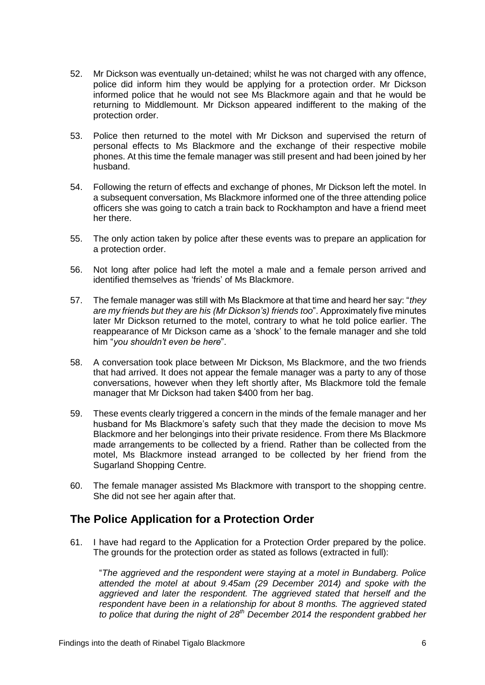- 52. Mr Dickson was eventually un-detained; whilst he was not charged with any offence, police did inform him they would be applying for a protection order. Mr Dickson informed police that he would not see Ms Blackmore again and that he would be returning to Middlemount. Mr Dickson appeared indifferent to the making of the protection order.
- 53. Police then returned to the motel with Mr Dickson and supervised the return of personal effects to Ms Blackmore and the exchange of their respective mobile phones. At this time the female manager was still present and had been joined by her husband.
- 54. Following the return of effects and exchange of phones, Mr Dickson left the motel. In a subsequent conversation, Ms Blackmore informed one of the three attending police officers she was going to catch a train back to Rockhampton and have a friend meet her there.
- 55. The only action taken by police after these events was to prepare an application for a protection order.
- 56. Not long after police had left the motel a male and a female person arrived and identified themselves as 'friends' of Ms Blackmore.
- 57. The female manager was still with Ms Blackmore at that time and heard her say: "*they are my friends but they are his (Mr Dickson's) friends too*". Approximately five minutes later Mr Dickson returned to the motel, contrary to what he told police earlier. The reappearance of Mr Dickson came as a 'shock' to the female manager and she told him "*you shouldn't even be here*".
- 58. A conversation took place between Mr Dickson, Ms Blackmore, and the two friends that had arrived. It does not appear the female manager was a party to any of those conversations, however when they left shortly after, Ms Blackmore told the female manager that Mr Dickson had taken \$400 from her bag.
- 59. These events clearly triggered a concern in the minds of the female manager and her husband for Ms Blackmore's safety such that they made the decision to move Ms Blackmore and her belongings into their private residence. From there Ms Blackmore made arrangements to be collected by a friend. Rather than be collected from the motel, Ms Blackmore instead arranged to be collected by her friend from the Sugarland Shopping Centre.
- 60. The female manager assisted Ms Blackmore with transport to the shopping centre. She did not see her again after that.

# <span id="page-7-0"></span>**The Police Application for a Protection Order**

61. I have had regard to the Application for a Protection Order prepared by the police. The grounds for the protection order as stated as follows (extracted in full):

"*The aggrieved and the respondent were staying at a motel in Bundaberg. Police attended the motel at about 9.45am (29 December 2014) and spoke with the aggrieved and later the respondent. The aggrieved stated that herself and the respondent have been in a relationship for about 8 months. The aggrieved stated to police that during the night of 28th December 2014 the respondent grabbed her*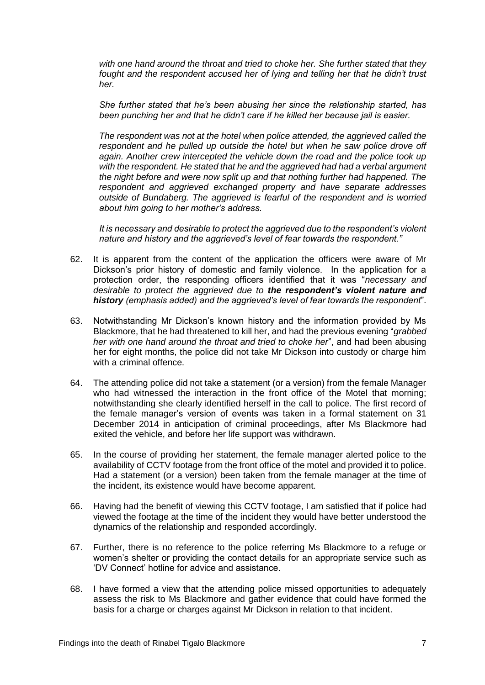*with one hand around the throat and tried to choke her. She further stated that they fought and the respondent accused her of lying and telling her that he didn't trust her.*

*She further stated that he's been abusing her since the relationship started, has been punching her and that he didn't care if he killed her because jail is easier.*

*The respondent was not at the hotel when police attended, the aggrieved called the*  respondent and he pulled up outside the hotel but when he saw police drove off *again. Another crew intercepted the vehicle down the road and the police took up with the respondent. He stated that he and the aggrieved had had a verbal argument the night before and were now split up and that nothing further had happened. The respondent and aggrieved exchanged property and have separate addresses outside of Bundaberg. The aggrieved is fearful of the respondent and is worried about him going to her mother's address.*

*It is necessary and desirable to protect the aggrieved due to the respondent's violent nature and history and the aggrieved's level of fear towards the respondent."*

- 62. It is apparent from the content of the application the officers were aware of Mr Dickson's prior history of domestic and family violence. In the application for a protection order, the responding officers identified that it was "*necessary and desirable to protect the aggrieved due to the respondent's violent nature and history (emphasis added) and the aggrieved's level of fear towards the respondent*".
- 63. Notwithstanding Mr Dickson's known history and the information provided by Ms Blackmore, that he had threatened to kill her, and had the previous evening "*grabbed her with one hand around the throat and tried to choke her*", and had been abusing her for eight months, the police did not take Mr Dickson into custody or charge him with a criminal offence.
- 64. The attending police did not take a statement (or a version) from the female Manager who had witnessed the interaction in the front office of the Motel that morning; notwithstanding she clearly identified herself in the call to police. The first record of the female manager's version of events was taken in a formal statement on 31 December 2014 in anticipation of criminal proceedings, after Ms Blackmore had exited the vehicle, and before her life support was withdrawn.
- 65. In the course of providing her statement, the female manager alerted police to the availability of CCTV footage from the front office of the motel and provided it to police. Had a statement (or a version) been taken from the female manager at the time of the incident, its existence would have become apparent.
- 66. Having had the benefit of viewing this CCTV footage, I am satisfied that if police had viewed the footage at the time of the incident they would have better understood the dynamics of the relationship and responded accordingly.
- 67. Further, there is no reference to the police referring Ms Blackmore to a refuge or women's shelter or providing the contact details for an appropriate service such as 'DV Connect' hotline for advice and assistance.
- 68. I have formed a view that the attending police missed opportunities to adequately assess the risk to Ms Blackmore and gather evidence that could have formed the basis for a charge or charges against Mr Dickson in relation to that incident.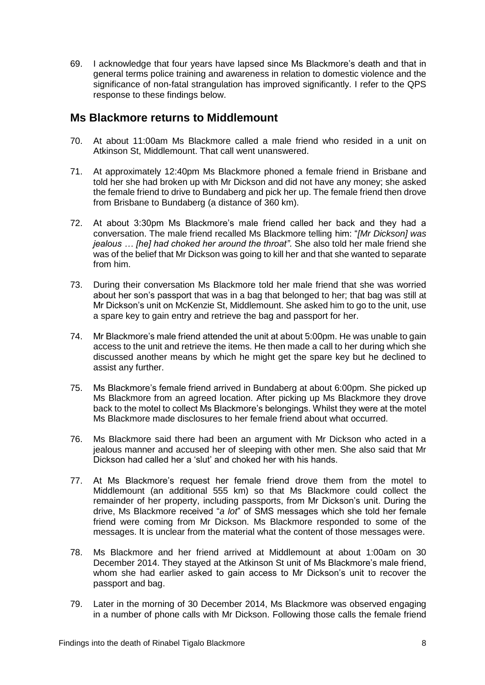69. I acknowledge that four years have lapsed since Ms Blackmore's death and that in general terms police training and awareness in relation to domestic violence and the significance of non-fatal strangulation has improved significantly. I refer to the QPS response to these findings below.

# <span id="page-9-0"></span>**Ms Blackmore returns to Middlemount**

- 70. At about 11:00am Ms Blackmore called a male friend who resided in a unit on Atkinson St, Middlemount. That call went unanswered.
- 71. At approximately 12:40pm Ms Blackmore phoned a female friend in Brisbane and told her she had broken up with Mr Dickson and did not have any money; she asked the female friend to drive to Bundaberg and pick her up. The female friend then drove from Brisbane to Bundaberg (a distance of 360 km).
- 72. At about 3:30pm Ms Blackmore's male friend called her back and they had a conversation. The male friend recalled Ms Blackmore telling him: "*[Mr Dickson] was jealous … [he] had choked her around the throat"*. She also told her male friend she was of the belief that Mr Dickson was going to kill her and that she wanted to separate from him.
- 73. During their conversation Ms Blackmore told her male friend that she was worried about her son's passport that was in a bag that belonged to her; that bag was still at Mr Dickson's unit on McKenzie St, Middlemount. She asked him to go to the unit, use a spare key to gain entry and retrieve the bag and passport for her.
- 74. Mr Blackmore's male friend attended the unit at about 5:00pm. He was unable to gain access to the unit and retrieve the items. He then made a call to her during which she discussed another means by which he might get the spare key but he declined to assist any further.
- 75. Ms Blackmore's female friend arrived in Bundaberg at about 6:00pm. She picked up Ms Blackmore from an agreed location. After picking up Ms Blackmore they drove back to the motel to collect Ms Blackmore's belongings. Whilst they were at the motel Ms Blackmore made disclosures to her female friend about what occurred.
- 76. Ms Blackmore said there had been an argument with Mr Dickson who acted in a jealous manner and accused her of sleeping with other men. She also said that Mr Dickson had called her a 'slut' and choked her with his hands.
- 77. At Ms Blackmore's request her female friend drove them from the motel to Middlemount (an additional 555 km) so that Ms Blackmore could collect the remainder of her property, including passports, from Mr Dickson's unit. During the drive, Ms Blackmore received "*a lot*" of SMS messages which she told her female friend were coming from Mr Dickson. Ms Blackmore responded to some of the messages. It is unclear from the material what the content of those messages were.
- 78. Ms Blackmore and her friend arrived at Middlemount at about 1:00am on 30 December 2014. They stayed at the Atkinson St unit of Ms Blackmore's male friend, whom she had earlier asked to gain access to Mr Dickson's unit to recover the passport and bag.
- 79. Later in the morning of 30 December 2014, Ms Blackmore was observed engaging in a number of phone calls with Mr Dickson. Following those calls the female friend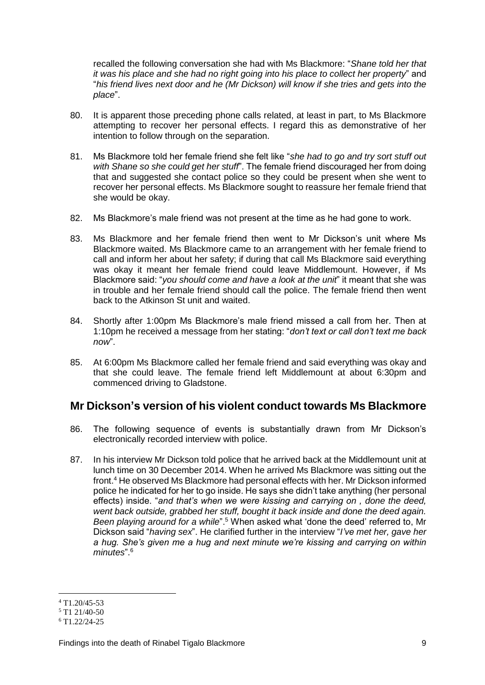recalled the following conversation she had with Ms Blackmore: "*Shane told her that it was his place and she had no right going into his place to collect her property*" and "*his friend lives next door and he (Mr Dickson) will know if she tries and gets into the place*".

- 80. It is apparent those preceding phone calls related, at least in part, to Ms Blackmore attempting to recover her personal effects. I regard this as demonstrative of her intention to follow through on the separation.
- 81. Ms Blackmore told her female friend she felt like "*she had to go and try sort stuff out with Shane so she could get her stuff*". The female friend discouraged her from doing that and suggested she contact police so they could be present when she went to recover her personal effects. Ms Blackmore sought to reassure her female friend that she would be okay.
- 82. Ms Blackmore's male friend was not present at the time as he had gone to work.
- 83. Ms Blackmore and her female friend then went to Mr Dickson's unit where Ms Blackmore waited. Ms Blackmore came to an arrangement with her female friend to call and inform her about her safety; if during that call Ms Blackmore said everything was okay it meant her female friend could leave Middlemount. However, if Ms Blackmore said: "*you should come and have a look at the unit*" it meant that she was in trouble and her female friend should call the police. The female friend then went back to the Atkinson St unit and waited.
- 84. Shortly after 1:00pm Ms Blackmore's male friend missed a call from her. Then at 1:10pm he received a message from her stating: "*don't text or call don't text me back now*".
- 85. At 6:00pm Ms Blackmore called her female friend and said everything was okay and that she could leave. The female friend left Middlemount at about 6:30pm and commenced driving to Gladstone.

# <span id="page-10-0"></span>**Mr Dickson's version of his violent conduct towards Ms Blackmore**

- 86. The following sequence of events is substantially drawn from Mr Dickson's electronically recorded interview with police.
- 87. In his interview Mr Dickson told police that he arrived back at the Middlemount unit at lunch time on 30 December 2014. When he arrived Ms Blackmore was sitting out the front.<sup>4</sup> He observed Ms Blackmore had personal effects with her. Mr Dickson informed police he indicated for her to go inside. He says she didn't take anything (her personal effects) inside. "*and that's when we were kissing and carrying on , done the deed, went back outside, grabbed her stuff, bought it back inside and done the deed again. Been playing around for a while*".<sup>5</sup> When asked what 'done the deed' referred to, Mr Dickson said "*having sex*". He clarified further in the interview "*I've met her, gave her a hug. She's given me a hug and next minute we're kissing and carrying on within minutes*". 6

<sup>&</sup>lt;u>.</u>  $4$  T1.20/45-53

 $5$  T1 21/40-50

<sup>6</sup> T1.22/24-25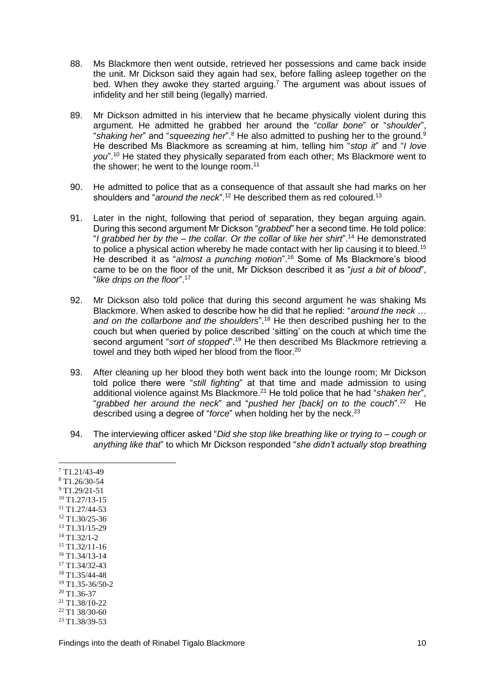- 88. Ms Blackmore then went outside, retrieved her possessions and came back inside the unit. Mr Dickson said they again had sex, before falling asleep together on the bed. When they awoke they started arguing.<sup>7</sup> The argument was about issues of infidelity and her still being (legally) married.
- 89. Mr Dickson admitted in his interview that he became physically violent during this argument. He admitted he grabbed her around the "*collar bone*" or "*shoulder*", "*shaking her*" and "*squeezing her*".<sup>8</sup> He also admitted to pushing her to the ground.<sup>9</sup> He described Ms Blackmore as screaming at him, telling him "*stop it*" and "*I love you*".<sup>10</sup> He stated they physically separated from each other; Ms Blackmore went to the shower; he went to the lounge room. $11$
- 90. He admitted to police that as a consequence of that assault she had marks on her shoulders and "around the neck".<sup>12</sup> He described them as red coloured.<sup>13</sup>
- 91. Later in the night, following that period of separation, they began arguing again. During this second argument Mr Dickson "*grabbed*" her a second time. He told police: "*I grabbed her by the – the collar. Or the collar of like her shirt*".<sup>14</sup> He demonstrated to police a physical action whereby he made contact with her lip causing it to bleed.<sup>15</sup> He described it as "*almost a punching motion*".<sup>16</sup> Some of Ms Blackmore's blood came to be on the floor of the unit, Mr Dickson described it as "*just a bit of blood*", "*like drips on the floor*". 17
- 92. Mr Dickson also told police that during this second argument he was shaking Ms Blackmore. When asked to describe how he did that he replied: "*around the neck … and on the collarbone and the shoulders*".<sup>18</sup> He then described pushing her to the couch but when queried by police described 'sitting' on the couch at which time the second argument "sort of stopped".<sup>19</sup> He then described Ms Blackmore retrieving a towel and they both wiped her blood from the floor.<sup>20</sup>
- 93. After cleaning up her blood they both went back into the lounge room; Mr Dickson told police there were "*still fighting*" at that time and made admission to using additional violence against Ms Blackmore. <sup>21</sup> He told police that he had "*shaken her*", "grabbed her around the neck" and "pushed her [back] on to the couch".<sup>22</sup> He described using a degree of "*force*" when holding her by the neck. 23
- 94. The interviewing officer asked "*Did she stop like breathing like or trying to – cough or anything like that*" to which Mr Dickson responded "*she didn't actually stop breathing*

 T1.21/43-49 T1.26/30-54 T1.29/21-51 T1.27/13-15 T1.27/44-53 T1.30/25-36 T1.31/15-29 T1.32/1-2 T1.32/11-16 T1.34/13-14 T1.34/32-43 T1.35/44-48 T<sub>1</sub>.35-36/50-2  $20$  T1.36-37 T1.38/10-22 T1 38/30-60 T1.38/39-53

1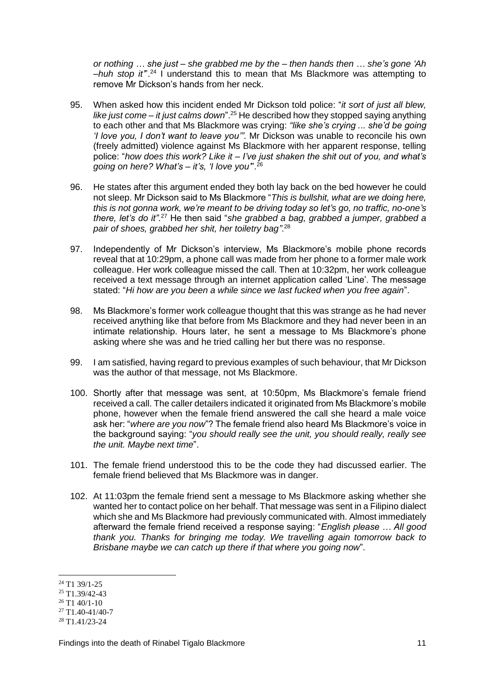*or nothing … she just – she grabbed me by the – then hands then … she's gone 'Ah –huh stop it'*".<sup>24</sup> I understand this to mean that Ms Blackmore was attempting to remove Mr Dickson's hands from her neck.

- 95. When asked how this incident ended Mr Dickson told police: "*it sort of just all blew, like just come – it just calms down*".<sup>25</sup> He described how they stopped saying anything to each other and that Ms Blackmore was crying: *"like she's crying ... she'd be going 'I love you, I don't want to leave you'"*. Mr Dickson was unable to reconcile his own (freely admitted) violence against Ms Blackmore with her apparent response, telling police: "*how does this work? Like it – I've just shaken the shit out of you, and what's going on here? What's – it's, 'I love you'*". 26
- 96. He states after this argument ended they both lay back on the bed however he could not sleep. Mr Dickson said to Ms Blackmore "*This is bullshit, what are we doing here, this is not gonna work, we're meant to be driving today so let's go, no traffic, no-one's*  there, let's do it".<sup>27</sup> He then said "she grabbed a bag, grabbed a jumper, grabbed a *pair of shoes, grabbed her shit, her toiletry bag"*. 28
- 97. Independently of Mr Dickson's interview, Ms Blackmore's mobile phone records reveal that at 10:29pm, a phone call was made from her phone to a former male work colleague. Her work colleague missed the call. Then at 10:32pm, her work colleague received a text message through an internet application called 'Line'. The message stated: "*Hi how are you been a while since we last fucked when you free again*".
- 98. Ms Blackmore's former work colleague thought that this was strange as he had never received anything like that before from Ms Blackmore and they had never been in an intimate relationship. Hours later, he sent a message to Ms Blackmore's phone asking where she was and he tried calling her but there was no response.
- 99. I am satisfied, having regard to previous examples of such behaviour, that Mr Dickson was the author of that message, not Ms Blackmore.
- 100. Shortly after that message was sent, at 10:50pm, Ms Blackmore's female friend received a call. The caller detailers indicated it originated from Ms Blackmore's mobile phone, however when the female friend answered the call she heard a male voice ask her: "*where are you now*"? The female friend also heard Ms Blackmore's voice in the background saying: "*you should really see the unit, you should really, really see the unit. Maybe next time*".
- 101. The female friend understood this to be the code they had discussed earlier. The female friend believed that Ms Blackmore was in danger.
- 102. At 11:03pm the female friend sent a message to Ms Blackmore asking whether she wanted her to contact police on her behalf. That message was sent in a Filipino dialect which she and Ms Blackmore had previously communicated with. Almost immediately afterward the female friend received a response saying: "*English please … All good thank you. Thanks for bringing me today. We travelling again tomorrow back to Brisbane maybe we can catch up there if that where you going now*".

<sup>&</sup>lt;u>.</u>  $24$  T1 39/1-25

 $25$  T1.39/42-43

 $26$  T1 40/1-10

 $27$  T1.40-41/40-7

<sup>28</sup> T1.41/23-24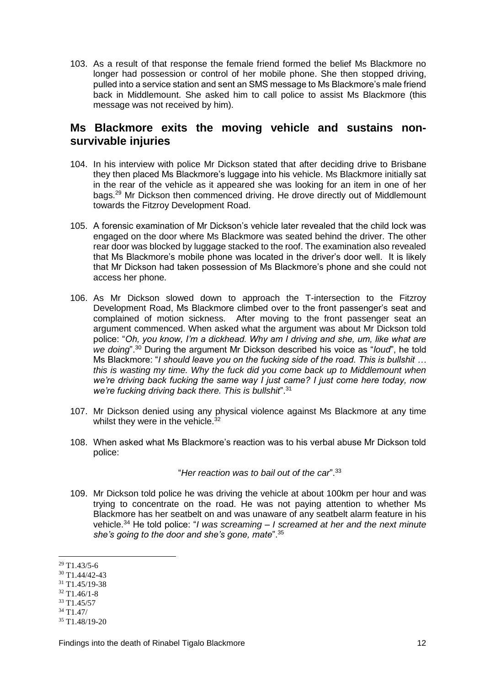103. As a result of that response the female friend formed the belief Ms Blackmore no longer had possession or control of her mobile phone. She then stopped driving, pulled into a service station and sent an SMS message to Ms Blackmore's male friend back in Middlemount. She asked him to call police to assist Ms Blackmore (this message was not received by him).

# <span id="page-13-0"></span>**Ms Blackmore exits the moving vehicle and sustains nonsurvivable injuries**

- 104. In his interview with police Mr Dickson stated that after deciding drive to Brisbane they then placed Ms Blackmore's luggage into his vehicle. Ms Blackmore initially sat in the rear of the vehicle as it appeared she was looking for an item in one of her bags.<sup>29</sup> Mr Dickson then commenced driving. He drove directly out of Middlemount towards the Fitzroy Development Road.
- 105. A forensic examination of Mr Dickson's vehicle later revealed that the child lock was engaged on the door where Ms Blackmore was seated behind the driver. The other rear door was blocked by luggage stacked to the roof. The examination also revealed that Ms Blackmore's mobile phone was located in the driver's door well. It is likely that Mr Dickson had taken possession of Ms Blackmore's phone and she could not access her phone.
- 106. As Mr Dickson slowed down to approach the T-intersection to the Fitzroy Development Road, Ms Blackmore climbed over to the front passenger's seat and complained of motion sickness. After moving to the front passenger seat an argument commenced. When asked what the argument was about Mr Dickson told police: "*Oh, you know, I'm a dickhead. Why am I driving and she, um, like what are we doing*".<sup>30</sup> During the argument Mr Dickson described his voice as "*loud*", he told Ms Blackmore: "*I should leave you on the fucking side of the road. This is bullshit … this is wasting my time. Why the fuck did you come back up to Middlemount when we're driving back fucking the same way I just came? I just come here today, now we're fucking driving back there. This is bullshit*".<sup>31</sup>
- 107. Mr Dickson denied using any physical violence against Ms Blackmore at any time whilst they were in the vehicle.<sup>32</sup>
- 108. When asked what Ms Blackmore's reaction was to his verbal abuse Mr Dickson told police:

"*Her reaction was to bail out of the car*". 33

109. Mr Dickson told police he was driving the vehicle at about 100km per hour and was trying to concentrate on the road. He was not paying attention to whether Ms Blackmore has her seatbelt on and was unaware of any seatbelt alarm feature in his vehicle.<sup>34</sup> He told police: "*I was screaming – I screamed at her and the next minute she's going to the door and she's gone, mate*".<sup>35</sup>

<sup>33</sup> T1.45/57

<sup>1</sup> <sup>29</sup> T1.43/5-6

<sup>30</sup> T1.44/42-43

<sup>31</sup> T1.45/19-38

 $32$  T<sub>1</sub>.46/1-8

<sup>34</sup> T1.47/

<sup>35</sup> T1.48/19-20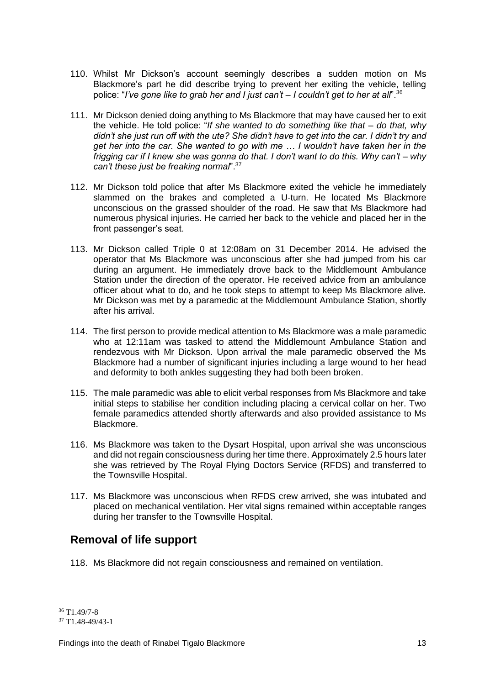- 110. Whilst Mr Dickson's account seemingly describes a sudden motion on Ms Blackmore's part he did describe trying to prevent her exiting the vehicle, telling police: "*I've gone like to grab her and I just can't – I couldn't get to her at all*".<sup>36</sup>
- 111. Mr Dickson denied doing anything to Ms Blackmore that may have caused her to exit the vehicle. He told police: "*If she wanted to do something like that – do that, why didn't she just run off with the ute? She didn't have to get into the car. I didn't try and get her into the car. She wanted to go with me ... I wouldn't have taken her in the frigging car if I knew she was gonna do that. I don't want to do this. Why can't – why can't these just be freaking normal*".<sup>37</sup>
- 112. Mr Dickson told police that after Ms Blackmore exited the vehicle he immediately slammed on the brakes and completed a U-turn. He located Ms Blackmore unconscious on the grassed shoulder of the road. He saw that Ms Blackmore had numerous physical injuries. He carried her back to the vehicle and placed her in the front passenger's seat.
- 113. Mr Dickson called Triple 0 at 12:08am on 31 December 2014. He advised the operator that Ms Blackmore was unconscious after she had jumped from his car during an argument. He immediately drove back to the Middlemount Ambulance Station under the direction of the operator. He received advice from an ambulance officer about what to do, and he took steps to attempt to keep Ms Blackmore alive. Mr Dickson was met by a paramedic at the Middlemount Ambulance Station, shortly after his arrival.
- 114. The first person to provide medical attention to Ms Blackmore was a male paramedic who at 12:11am was tasked to attend the Middlemount Ambulance Station and rendezvous with Mr Dickson. Upon arrival the male paramedic observed the Ms Blackmore had a number of significant injuries including a large wound to her head and deformity to both ankles suggesting they had both been broken.
- 115. The male paramedic was able to elicit verbal responses from Ms Blackmore and take initial steps to stabilise her condition including placing a cervical collar on her. Two female paramedics attended shortly afterwards and also provided assistance to Ms Blackmore.
- 116. Ms Blackmore was taken to the Dysart Hospital, upon arrival she was unconscious and did not regain consciousness during her time there. Approximately 2.5 hours later she was retrieved by The Royal Flying Doctors Service (RFDS) and transferred to the Townsville Hospital.
- 117. Ms Blackmore was unconscious when RFDS crew arrived, she was intubated and placed on mechanical ventilation. Her vital signs remained within acceptable ranges during her transfer to the Townsville Hospital.

# <span id="page-14-0"></span>**Removal of life support**

118. Ms Blackmore did not regain consciousness and remained on ventilation.

<sup>1</sup> <sup>36</sup> T1.49/7-8

<sup>37</sup> T1.48-49/43-1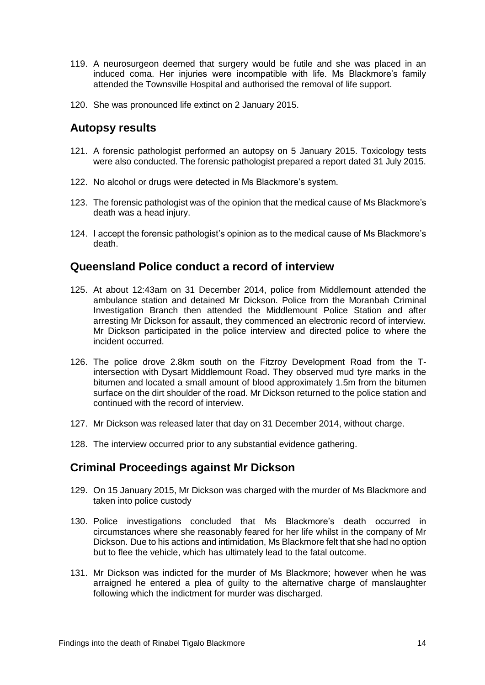- 119. A neurosurgeon deemed that surgery would be futile and she was placed in an induced coma. Her injuries were incompatible with life. Ms Blackmore's family attended the Townsville Hospital and authorised the removal of life support.
- <span id="page-15-0"></span>120. She was pronounced life extinct on 2 January 2015.

### **Autopsy results**

- 121. A forensic pathologist performed an autopsy on 5 January 2015. Toxicology tests were also conducted. The forensic pathologist prepared a report dated 31 July 2015.
- 122. No alcohol or drugs were detected in Ms Blackmore's system.
- 123. The forensic pathologist was of the opinion that the medical cause of Ms Blackmore's death was a head injury.
- 124. I accept the forensic pathologist's opinion as to the medical cause of Ms Blackmore's death.

#### <span id="page-15-1"></span>**Queensland Police conduct a record of interview**

- 125. At about 12:43am on 31 December 2014, police from Middlemount attended the ambulance station and detained Mr Dickson. Police from the Moranbah Criminal Investigation Branch then attended the Middlemount Police Station and after arresting Mr Dickson for assault, they commenced an electronic record of interview. Mr Dickson participated in the police interview and directed police to where the incident occurred.
- 126. The police drove 2.8km south on the Fitzroy Development Road from the Tintersection with Dysart Middlemount Road. They observed mud tyre marks in the bitumen and located a small amount of blood approximately 1.5m from the bitumen surface on the dirt shoulder of the road. Mr Dickson returned to the police station and continued with the record of interview.
- 127. Mr Dickson was released later that day on 31 December 2014, without charge.
- <span id="page-15-2"></span>128. The interview occurred prior to any substantial evidence gathering.

# **Criminal Proceedings against Mr Dickson**

- 129. On 15 January 2015, Mr Dickson was charged with the murder of Ms Blackmore and taken into police custody
- 130. Police investigations concluded that Ms Blackmore's death occurred in circumstances where she reasonably feared for her life whilst in the company of Mr Dickson. Due to his actions and intimidation, Ms Blackmore felt that she had no option but to flee the vehicle, which has ultimately lead to the fatal outcome.
- 131. Mr Dickson was indicted for the murder of Ms Blackmore; however when he was arraigned he entered a plea of guilty to the alternative charge of manslaughter following which the indictment for murder was discharged.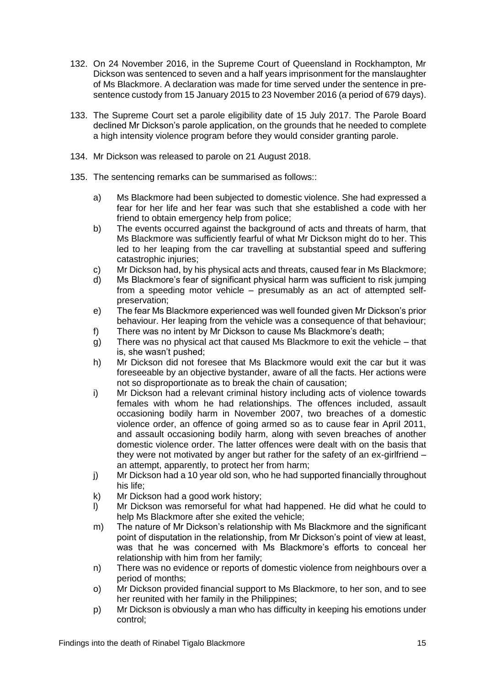- 132. On 24 November 2016, in the Supreme Court of Queensland in Rockhampton, Mr Dickson was sentenced to seven and a half years imprisonment for the manslaughter of Ms Blackmore. A declaration was made for time served under the sentence in presentence custody from 15 January 2015 to 23 November 2016 (a period of 679 days).
- 133. The Supreme Court set a parole eligibility date of 15 July 2017. The Parole Board declined Mr Dickson's parole application, on the grounds that he needed to complete a high intensity violence program before they would consider granting parole.
- 134. Mr Dickson was released to parole on 21 August 2018.
- 135. The sentencing remarks can be summarised as follows::
	- a) Ms Blackmore had been subjected to domestic violence. She had expressed a fear for her life and her fear was such that she established a code with her friend to obtain emergency help from police;
	- b) The events occurred against the background of acts and threats of harm, that Ms Blackmore was sufficiently fearful of what Mr Dickson might do to her. This led to her leaping from the car travelling at substantial speed and suffering catastrophic injuries;
	- c) Mr Dickson had, by his physical acts and threats, caused fear in Ms Blackmore;
	- d) Ms Blackmore's fear of significant physical harm was sufficient to risk jumping from a speeding motor vehicle – presumably as an act of attempted selfpreservation;
	- e) The fear Ms Blackmore experienced was well founded given Mr Dickson's prior behaviour. Her leaping from the vehicle was a consequence of that behaviour;
	- f) There was no intent by Mr Dickson to cause Ms Blackmore's death;
	- g) There was no physical act that caused Ms Blackmore to exit the vehicle that is, she wasn't pushed;
	- h) Mr Dickson did not foresee that Ms Blackmore would exit the car but it was foreseeable by an objective bystander, aware of all the facts. Her actions were not so disproportionate as to break the chain of causation;
	- i) Mr Dickson had a relevant criminal history including acts of violence towards females with whom he had relationships. The offences included, assault occasioning bodily harm in November 2007, two breaches of a domestic violence order, an offence of going armed so as to cause fear in April 2011, and assault occasioning bodily harm, along with seven breaches of another domestic violence order. The latter offences were dealt with on the basis that they were not motivated by anger but rather for the safety of an ex-girlfriend – an attempt, apparently, to protect her from harm;
	- j) Mr Dickson had a 10 year old son, who he had supported financially throughout his life;
	- k) Mr Dickson had a good work history;
	- l) Mr Dickson was remorseful for what had happened. He did what he could to help Ms Blackmore after she exited the vehicle;
	- m) The nature of Mr Dickson's relationship with Ms Blackmore and the significant point of disputation in the relationship, from Mr Dickson's point of view at least, was that he was concerned with Ms Blackmore's efforts to conceal her relationship with him from her family;
	- n) There was no evidence or reports of domestic violence from neighbours over a period of months;
	- o) Mr Dickson provided financial support to Ms Blackmore, to her son, and to see her reunited with her family in the Philippines;
	- p) Mr Dickson is obviously a man who has difficulty in keeping his emotions under control;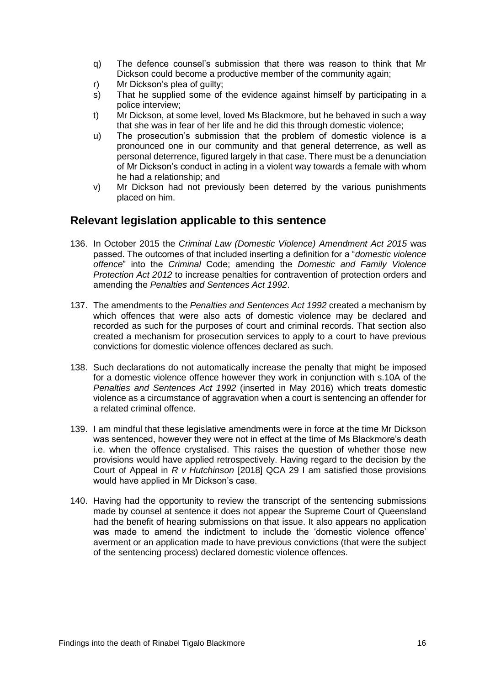- q) The defence counsel's submission that there was reason to think that Mr Dickson could become a productive member of the community again;
- r) Mr Dickson's plea of guilty;
- s) That he supplied some of the evidence against himself by participating in a police interview;
- t) Mr Dickson, at some level, loved Ms Blackmore, but he behaved in such a way that she was in fear of her life and he did this through domestic violence;
- u) The prosecution's submission that the problem of domestic violence is a pronounced one in our community and that general deterrence, as well as personal deterrence, figured largely in that case. There must be a denunciation of Mr Dickson's conduct in acting in a violent way towards a female with whom he had a relationship; and
- v) Mr Dickson had not previously been deterred by the various punishments placed on him.

#### <span id="page-17-0"></span>**Relevant legislation applicable to this sentence**

- 136. In October 2015 the *Criminal Law (Domestic Violence) Amendment Act 2015* was passed. The outcomes of that included inserting a definition for a "*domestic violence offence*" into the *Criminal* Code; amending the *Domestic and Family Violence Protection Act 2012* to increase penalties for contravention of protection orders and amending the *Penalties and Sentences Act 1992*.
- 137. The amendments to the *Penalties and Sentences Act 1992* created a mechanism by which offences that were also acts of domestic violence may be declared and recorded as such for the purposes of court and criminal records. That section also created a mechanism for prosecution services to apply to a court to have previous convictions for domestic violence offences declared as such.
- 138. Such declarations do not automatically increase the penalty that might be imposed for a domestic violence offence however they work in conjunction with s.10A of the *Penalties and Sentences Act 1992* (inserted in May 2016) which treats domestic violence as a circumstance of aggravation when a court is sentencing an offender for a related criminal offence.
- 139. I am mindful that these legislative amendments were in force at the time Mr Dickson was sentenced, however they were not in effect at the time of Ms Blackmore's death i.e. when the offence crystalised. This raises the question of whether those new provisions would have applied retrospectively. Having regard to the decision by the Court of Appeal in *R v Hutchinson* [2018] QCA 29 I am satisfied those provisions would have applied in Mr Dickson's case.
- 140. Having had the opportunity to review the transcript of the sentencing submissions made by counsel at sentence it does not appear the Supreme Court of Queensland had the benefit of hearing submissions on that issue. It also appears no application was made to amend the indictment to include the 'domestic violence offence' averment or an application made to have previous convictions (that were the subject of the sentencing process) declared domestic violence offences.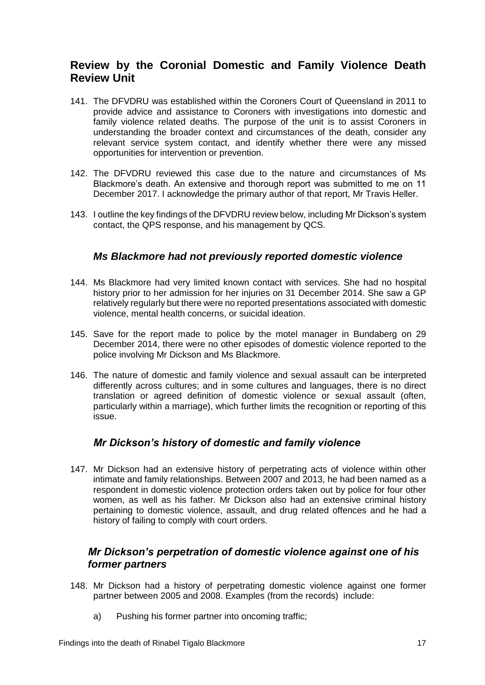# <span id="page-18-0"></span>**Review by the Coronial Domestic and Family Violence Death Review Unit**

- 141. The DFVDRU was established within the Coroners Court of Queensland in 2011 to provide advice and assistance to Coroners with investigations into domestic and family violence related deaths. The purpose of the unit is to assist Coroners in understanding the broader context and circumstances of the death, consider any relevant service system contact, and identify whether there were any missed opportunities for intervention or prevention.
- 142. The DFVDRU reviewed this case due to the nature and circumstances of Ms Blackmore's death. An extensive and thorough report was submitted to me on 11 December 2017. I acknowledge the primary author of that report, Mr Travis Heller.
- 143. I outline the key findings of the DFVDRU review below, including Mr Dickson's system contact, the QPS response, and his management by QCS.

#### *Ms Blackmore had not previously reported domestic violence*

- <span id="page-18-1"></span>144. Ms Blackmore had very limited known contact with services. She had no hospital history prior to her admission for her injuries on 31 December 2014. She saw a GP relatively regularly but there were no reported presentations associated with domestic violence, mental health concerns, or suicidal ideation.
- 145. Save for the report made to police by the motel manager in Bundaberg on 29 December 2014, there were no other episodes of domestic violence reported to the police involving Mr Dickson and Ms Blackmore.
- 146. The nature of domestic and family violence and sexual assault can be interpreted differently across cultures; and in some cultures and languages, there is no direct translation or agreed definition of domestic violence or sexual assault (often, particularly within a marriage), which further limits the recognition or reporting of this issue.

#### *Mr Dickson's history of domestic and family violence*

<span id="page-18-2"></span>147. Mr Dickson had an extensive history of perpetrating acts of violence within other intimate and family relationships. Between 2007 and 2013, he had been named as a respondent in domestic violence protection orders taken out by police for four other women, as well as his father. Mr Dickson also had an extensive criminal history pertaining to domestic violence, assault, and drug related offences and he had a history of failing to comply with court orders.

### <span id="page-18-3"></span>*Mr Dickson's perpetration of domestic violence against one of his former partners*

- 148. Mr Dickson had a history of perpetrating domestic violence against one former partner between 2005 and 2008. Examples (from the records) include:
	- a) Pushing his former partner into oncoming traffic;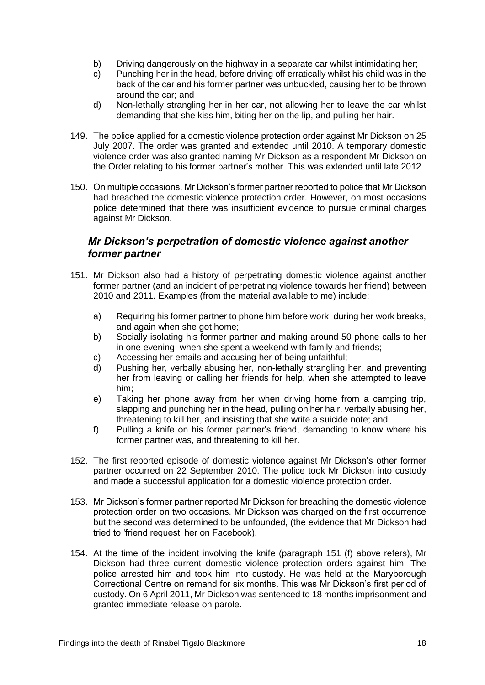- b) Driving dangerously on the highway in a separate car whilst intimidating her;
- c) Punching her in the head, before driving off erratically whilst his child was in the back of the car and his former partner was unbuckled, causing her to be thrown around the car; and
- d) Non-lethally strangling her in her car, not allowing her to leave the car whilst demanding that she kiss him, biting her on the lip, and pulling her hair.
- 149. The police applied for a domestic violence protection order against Mr Dickson on 25 July 2007. The order was granted and extended until 2010. A temporary domestic violence order was also granted naming Mr Dickson as a respondent Mr Dickson on the Order relating to his former partner's mother. This was extended until late 2012.
- 150. On multiple occasions, Mr Dickson's former partner reported to police that Mr Dickson had breached the domestic violence protection order. However, on most occasions police determined that there was insufficient evidence to pursue criminal charges against Mr Dickson.

#### <span id="page-19-0"></span>*Mr Dickson's perpetration of domestic violence against another former partner*

- 151. Mr Dickson also had a history of perpetrating domestic violence against another former partner (and an incident of perpetrating violence towards her friend) between 2010 and 2011. Examples (from the material available to me) include:
	- a) Requiring his former partner to phone him before work, during her work breaks, and again when she got home;
	- b) Socially isolating his former partner and making around 50 phone calls to her in one evening, when she spent a weekend with family and friends;
	- c) Accessing her emails and accusing her of being unfaithful;
	- d) Pushing her, verbally abusing her, non-lethally strangling her, and preventing her from leaving or calling her friends for help, when she attempted to leave him;
	- e) Taking her phone away from her when driving home from a camping trip, slapping and punching her in the head, pulling on her hair, verbally abusing her, threatening to kill her, and insisting that she write a suicide note; and
	- f) Pulling a knife on his former partner's friend, demanding to know where his former partner was, and threatening to kill her.
- 152. The first reported episode of domestic violence against Mr Dickson's other former partner occurred on 22 September 2010. The police took Mr Dickson into custody and made a successful application for a domestic violence protection order.
- 153. Mr Dickson's former partner reported Mr Dickson for breaching the domestic violence protection order on two occasions. Mr Dickson was charged on the first occurrence but the second was determined to be unfounded, (the evidence that Mr Dickson had tried to 'friend request' her on Facebook).
- 154. At the time of the incident involving the knife (paragraph 151 (f) above refers), Mr Dickson had three current domestic violence protection orders against him. The police arrested him and took him into custody. He was held at the Maryborough Correctional Centre on remand for six months. This was Mr Dickson's first period of custody. On 6 April 2011, Mr Dickson was sentenced to 18 months imprisonment and granted immediate release on parole.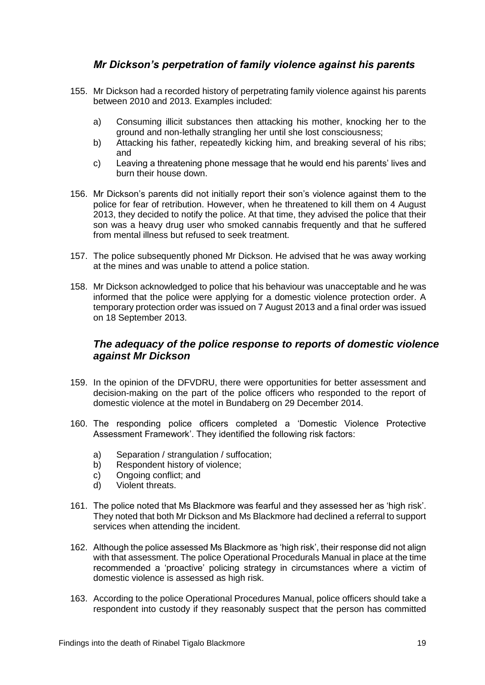### *Mr Dickson's perpetration of family violence against his parents*

- <span id="page-20-0"></span>155. Mr Dickson had a recorded history of perpetrating family violence against his parents between 2010 and 2013. Examples included:
	- a) Consuming illicit substances then attacking his mother, knocking her to the ground and non-lethally strangling her until she lost consciousness;
	- b) Attacking his father, repeatedly kicking him, and breaking several of his ribs; and
	- c) Leaving a threatening phone message that he would end his parents' lives and burn their house down.
- 156. Mr Dickson's parents did not initially report their son's violence against them to the police for fear of retribution. However, when he threatened to kill them on 4 August 2013, they decided to notify the police. At that time, they advised the police that their son was a heavy drug user who smoked cannabis frequently and that he suffered from mental illness but refused to seek treatment.
- 157. The police subsequently phoned Mr Dickson. He advised that he was away working at the mines and was unable to attend a police station.
- 158. Mr Dickson acknowledged to police that his behaviour was unacceptable and he was informed that the police were applying for a domestic violence protection order. A temporary protection order was issued on 7 August 2013 and a final order was issued on 18 September 2013.

#### <span id="page-20-1"></span>*The adequacy of the police response to reports of domestic violence against Mr Dickson*

- 159. In the opinion of the DFVDRU, there were opportunities for better assessment and decision-making on the part of the police officers who responded to the report of domestic violence at the motel in Bundaberg on 29 December 2014.
- 160. The responding police officers completed a 'Domestic Violence Protective Assessment Framework'. They identified the following risk factors:
	- a) Separation / strangulation / suffocation;
	- b) Respondent history of violence;
	- c) Ongoing conflict; and
	- d) Violent threats.
- 161. The police noted that Ms Blackmore was fearful and they assessed her as 'high risk'. They noted that both Mr Dickson and Ms Blackmore had declined a referral to support services when attending the incident.
- 162. Although the police assessed Ms Blackmore as 'high risk', their response did not align with that assessment. The police Operational Procedurals Manual in place at the time recommended a 'proactive' policing strategy in circumstances where a victim of domestic violence is assessed as high risk.
- 163. According to the police Operational Procedures Manual, police officers should take a respondent into custody if they reasonably suspect that the person has committed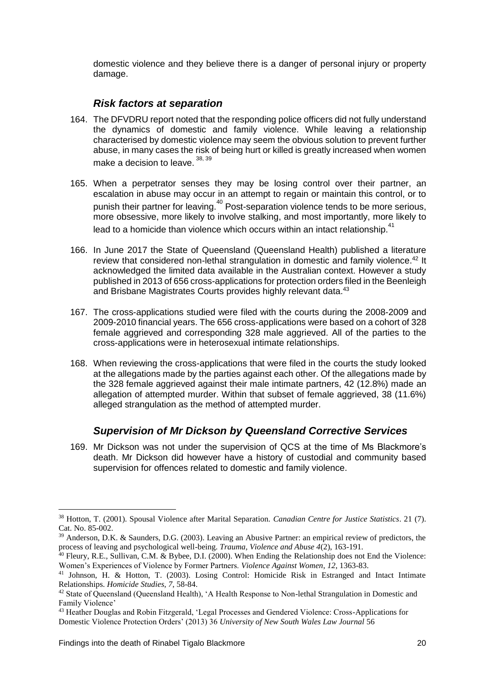domestic violence and they believe there is a danger of personal injury or property damage.

#### *Risk factors at separation*

- <span id="page-21-0"></span>164. The DFVDRU report noted that the responding police officers did not fully understand the dynamics of domestic and family violence. While leaving a relationship characterised by domestic violence may seem the obvious solution to prevent further abuse, in many cases the risk of being hurt or killed is greatly increased when women make a decision to leave.<sup>38, 39</sup>
- 165. When a perpetrator senses they may be losing control over their partner, an escalation in abuse may occur in an attempt to regain or maintain this control, or to punish their partner for leaving.<sup>40</sup> Post-separation violence tends to be more serious, more obsessive, more likely to involve stalking, and most importantly, more likely to lead to a homicide than violence which occurs within an intact relationship.<sup>41</sup>
- 166. In June 2017 the State of Queensland (Queensland Health) published a literature review that considered non-lethal strangulation in domestic and family violence.<sup>42</sup> It acknowledged the limited data available in the Australian context. However a study published in 2013 of 656 cross-applications for protection orders filed in the Beenleigh and Brisbane Magistrates Courts provides highly relevant data.<sup>43</sup>
- 167. The cross-applications studied were filed with the courts during the 2008-2009 and 2009-2010 financial years. The 656 cross-applications were based on a cohort of 328 female aggrieved and corresponding 328 male aggrieved. All of the parties to the cross-applications were in heterosexual intimate relationships.
- 168. When reviewing the cross-applications that were filed in the courts the study looked at the allegations made by the parties against each other. Of the allegations made by the 328 female aggrieved against their male intimate partners, 42 (12.8%) made an allegation of attempted murder. Within that subset of female aggrieved, 38 (11.6%) alleged strangulation as the method of attempted murder.

#### *Supervision of Mr Dickson by Queensland Corrective Services*

<span id="page-21-1"></span>169. Mr Dickson was not under the supervision of QCS at the time of Ms Blackmore's death. Mr Dickson did however have a history of custodial and community based supervision for offences related to domestic and family violence.

<u>.</u>

<sup>38</sup> Hotton, T. (2001). Spousal Violence after Marital Separation. *Canadian Centre for Justice Statistics*. 21 (7). Cat. No. 85-002.

<sup>39</sup> Anderson, D.K. & Saunders, D.G. (2003). Leaving an Abusive Partner: an empirical review of predictors, the process of leaving and psychological well-being. *Trauma, Violence and Abuse 4*(2), 163-191.

 $40$  Fleury, R.E., Sullivan, C.M. & Bybee, D.I. (2000). When Ending the Relationship does not End the Violence: Women's Experiences of Violence by Former Partners. *Violence Against Women*, *12*, 1363-83.

<sup>41</sup> Johnson, H. & Hotton, T. (2003). Losing Control: Homicide Risk in Estranged and Intact Intimate Relationships. *Homicide Studies*, *7*, 58-84.

<sup>&</sup>lt;sup>42</sup> State of Oueensland (Oueensland Health), 'A Health Response to Non-lethal Strangulation in Domestic and Family Violence'

<sup>43</sup> Heather Douglas and Robin Fitzgerald, 'Legal Processes and Gendered Violence: Cross-Applications for Domestic Violence Protection Orders' (2013) 36 *University of New South Wales Law Journal* 56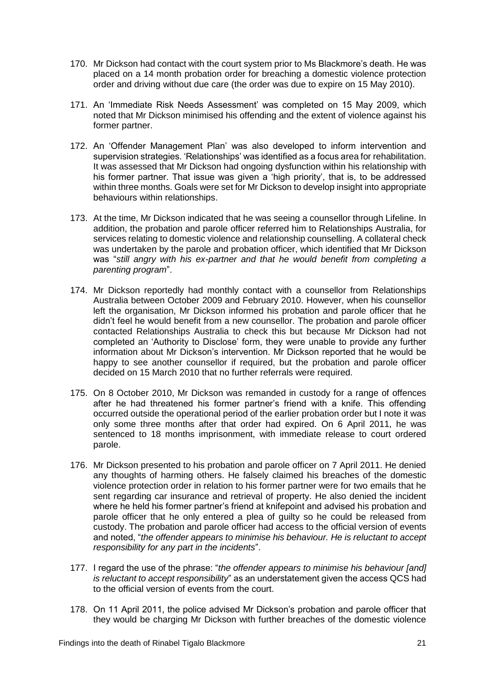- 170. Mr Dickson had contact with the court system prior to Ms Blackmore's death. He was placed on a 14 month probation order for breaching a domestic violence protection order and driving without due care (the order was due to expire on 15 May 2010).
- 171. An 'Immediate Risk Needs Assessment' was completed on 15 May 2009, which noted that Mr Dickson minimised his offending and the extent of violence against his former partner.
- 172. An 'Offender Management Plan' was also developed to inform intervention and supervision strategies. 'Relationships' was identified as a focus area for rehabilitation. It was assessed that Mr Dickson had ongoing dysfunction within his relationship with his former partner. That issue was given a 'high priority', that is, to be addressed within three months. Goals were set for Mr Dickson to develop insight into appropriate behaviours within relationships.
- 173. At the time, Mr Dickson indicated that he was seeing a counsellor through Lifeline. In addition, the probation and parole officer referred him to Relationships Australia, for services relating to domestic violence and relationship counselling. A collateral check was undertaken by the parole and probation officer, which identified that Mr Dickson was "*still angry with his ex-partner and that he would benefit from completing a parenting program*".
- 174. Mr Dickson reportedly had monthly contact with a counsellor from Relationships Australia between October 2009 and February 2010. However, when his counsellor left the organisation, Mr Dickson informed his probation and parole officer that he didn't feel he would benefit from a new counsellor. The probation and parole officer contacted Relationships Australia to check this but because Mr Dickson had not completed an 'Authority to Disclose' form, they were unable to provide any further information about Mr Dickson's intervention. Mr Dickson reported that he would be happy to see another counsellor if required, but the probation and parole officer decided on 15 March 2010 that no further referrals were required.
- 175. On 8 October 2010, Mr Dickson was remanded in custody for a range of offences after he had threatened his former partner's friend with a knife. This offending occurred outside the operational period of the earlier probation order but I note it was only some three months after that order had expired. On 6 April 2011, he was sentenced to 18 months imprisonment, with immediate release to court ordered parole.
- 176. Mr Dickson presented to his probation and parole officer on 7 April 2011. He denied any thoughts of harming others. He falsely claimed his breaches of the domestic violence protection order in relation to his former partner were for two emails that he sent regarding car insurance and retrieval of property. He also denied the incident where he held his former partner's friend at knifepoint and advised his probation and parole officer that he only entered a plea of guilty so he could be released from custody. The probation and parole officer had access to the official version of events and noted, "*the offender appears to minimise his behaviour. He is reluctant to accept responsibility for any part in the incidents*".
- 177. I regard the use of the phrase: "*the offender appears to minimise his behaviour [and] is reluctant to accept responsibility*" as an understatement given the access QCS had to the official version of events from the court.
- 178. On 11 April 2011, the police advised Mr Dickson's probation and parole officer that they would be charging Mr Dickson with further breaches of the domestic violence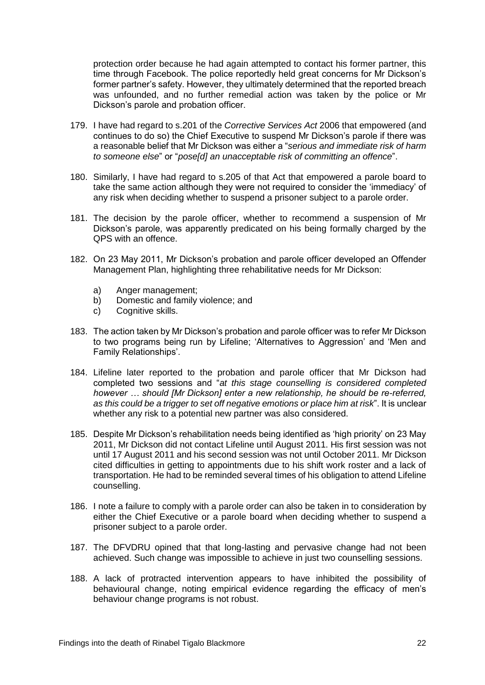protection order because he had again attempted to contact his former partner, this time through Facebook. The police reportedly held great concerns for Mr Dickson's former partner's safety. However, they ultimately determined that the reported breach was unfounded, and no further remedial action was taken by the police or Mr Dickson's parole and probation officer.

- 179. I have had regard to s.201 of the *Corrective Services Act* 2006 that empowered (and continues to do so) the Chief Executive to suspend Mr Dickson's parole if there was a reasonable belief that Mr Dickson was either a "*serious and immediate risk of harm to someone else*" or "*pose[d] an unacceptable risk of committing an offence*".
- 180. Similarly, I have had regard to s.205 of that Act that empowered a parole board to take the same action although they were not required to consider the 'immediacy' of any risk when deciding whether to suspend a prisoner subject to a parole order.
- 181. The decision by the parole officer, whether to recommend a suspension of Mr Dickson's parole, was apparently predicated on his being formally charged by the QPS with an offence.
- 182. On 23 May 2011, Mr Dickson's probation and parole officer developed an Offender Management Plan, highlighting three rehabilitative needs for Mr Dickson:
	- a) Anger management;
	- b) Domestic and family violence; and
	- c) Cognitive skills.
- 183. The action taken by Mr Dickson's probation and parole officer was to refer Mr Dickson to two programs being run by Lifeline; 'Alternatives to Aggression' and 'Men and Family Relationships'.
- 184. Lifeline later reported to the probation and parole officer that Mr Dickson had completed two sessions and "*at this stage counselling is considered completed however … should [Mr Dickson] enter a new relationship, he should be re-referred, as this could be a trigger to set off negative emotions or place him at risk*". It is unclear whether any risk to a potential new partner was also considered.
- 185. Despite Mr Dickson's rehabilitation needs being identified as 'high priority' on 23 May 2011, Mr Dickson did not contact Lifeline until August 2011. His first session was not until 17 August 2011 and his second session was not until October 2011. Mr Dickson cited difficulties in getting to appointments due to his shift work roster and a lack of transportation. He had to be reminded several times of his obligation to attend Lifeline counselling.
- 186. I note a failure to comply with a parole order can also be taken in to consideration by either the Chief Executive or a parole board when deciding whether to suspend a prisoner subject to a parole order.
- 187. The DFVDRU opined that that long-lasting and pervasive change had not been achieved. Such change was impossible to achieve in just two counselling sessions.
- 188. A lack of protracted intervention appears to have inhibited the possibility of behavioural change, noting empirical evidence regarding the efficacy of men's behaviour change programs is not robust.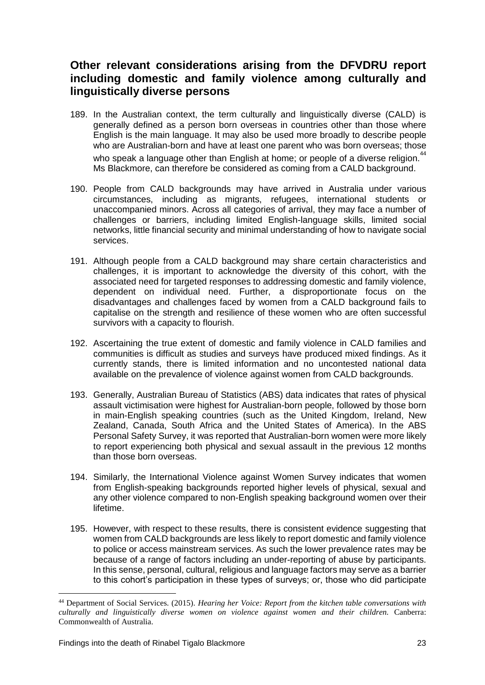# <span id="page-24-0"></span>**Other relevant considerations arising from the DFVDRU report including domestic and family violence among culturally and linguistically diverse persons**

- 189. In the Australian context, the term culturally and linguistically diverse (CALD) is generally defined as a person born overseas in countries other than those where English is the main language. It may also be used more broadly to describe people who are Australian-born and have at least one parent who was born overseas; those who speak a language other than English at home; or people of a diverse religion.<sup>44</sup> Ms Blackmore, can therefore be considered as coming from a CALD background.
- 190. People from CALD backgrounds may have arrived in Australia under various circumstances, including as migrants, refugees, international students or unaccompanied minors. Across all categories of arrival, they may face a number of challenges or barriers, including limited English-language skills, limited social networks, little financial security and minimal understanding of how to navigate social services.
- 191. Although people from a CALD background may share certain characteristics and challenges, it is important to acknowledge the diversity of this cohort, with the associated need for targeted responses to addressing domestic and family violence, dependent on individual need. Further, a disproportionate focus on the disadvantages and challenges faced by women from a CALD background fails to capitalise on the strength and resilience of these women who are often successful survivors with a capacity to flourish.
- 192. Ascertaining the true extent of domestic and family violence in CALD families and communities is difficult as studies and surveys have produced mixed findings. As it currently stands, there is limited information and no uncontested national data available on the prevalence of violence against women from CALD backgrounds.
- 193. Generally, Australian Bureau of Statistics (ABS) data indicates that rates of physical assault victimisation were highest for Australian-born people, followed by those born in main-English speaking countries (such as the United Kingdom, Ireland, New Zealand, Canada, South Africa and the United States of America). In the ABS Personal Safety Survey, it was reported that Australian-born women were more likely to report experiencing both physical and sexual assault in the previous 12 months than those born overseas.
- 194. Similarly, the International Violence against Women Survey indicates that women from English-speaking backgrounds reported higher levels of physical, sexual and any other violence compared to non-English speaking background women over their lifetime.
- 195. However, with respect to these results, there is consistent evidence suggesting that women from CALD backgrounds are less likely to report domestic and family violence to police or access mainstream services. As such the lower prevalence rates may be because of a range of factors including an under-reporting of abuse by participants. In this sense, personal, cultural, religious and language factors may serve as a barrier to this cohort's participation in these types of surveys; or, those who did participate

<u>.</u>

<sup>44</sup> Department of Social Services. (2015). *Hearing her Voice: Report from the kitchen table conversations with culturally and linguistically diverse women on violence against women and their children.* Canberra: Commonwealth of Australia.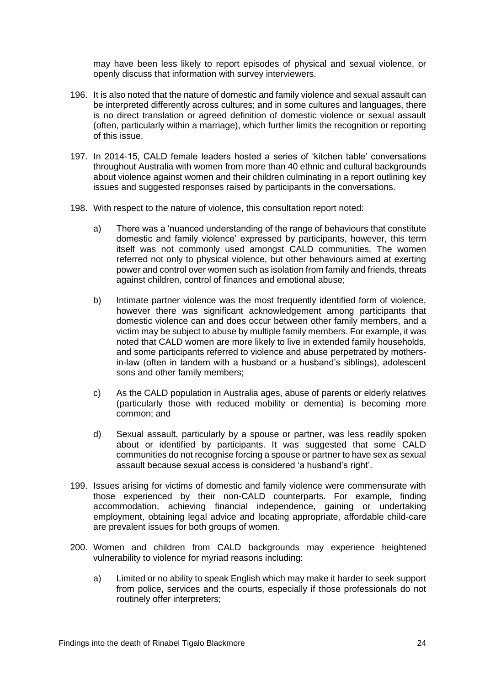may have been less likely to report episodes of physical and sexual violence, or openly discuss that information with survey interviewers.

- 196. It is also noted that the nature of domestic and family violence and sexual assault can be interpreted differently across cultures; and in some cultures and languages, there is no direct translation or agreed definition of domestic violence or sexual assault (often, particularly within a marriage), which further limits the recognition or reporting of this issue.
- 197. In 2014-15, CALD female leaders hosted a series of 'kitchen table' conversations throughout Australia with women from more than 40 ethnic and cultural backgrounds about violence against women and their children culminating in a report outlining key issues and suggested responses raised by participants in the conversations.
- 198. With respect to the nature of violence, this consultation report noted:
	- a) There was a 'nuanced understanding of the range of behaviours that constitute domestic and family violence' expressed by participants, however, this term itself was not commonly used amongst CALD communities. The women referred not only to physical violence, but other behaviours aimed at exerting power and control over women such as isolation from family and friends, threats against children, control of finances and emotional abuse;
	- b) Intimate partner violence was the most frequently identified form of violence, however there was significant acknowledgement among participants that domestic violence can and does occur between other family members, and a victim may be subject to abuse by multiple family members. For example, it was noted that CALD women are more likely to live in extended family households, and some participants referred to violence and abuse perpetrated by mothersin-law (often in tandem with a husband or a husband's siblings), adolescent sons and other family members;
	- c) As the CALD population in Australia ages, abuse of parents or elderly relatives (particularly those with reduced mobility or dementia) is becoming more common; and
	- d) Sexual assault, particularly by a spouse or partner, was less readily spoken about or identified by participants. It was suggested that some CALD communities do not recognise forcing a spouse or partner to have sex as sexual assault because sexual access is considered 'a husband's right'.
- 199. Issues arising for victims of domestic and family violence were commensurate with those experienced by their non-CALD counterparts. For example, finding accommodation, achieving financial independence, gaining or undertaking employment, obtaining legal advice and locating appropriate, affordable child-care are prevalent issues for both groups of women.
- 200. Women and children from CALD backgrounds may experience heightened vulnerability to violence for myriad reasons including:
	- a) Limited or no ability to speak English which may make it harder to seek support from police, services and the courts, especially if those professionals do not routinely offer interpreters;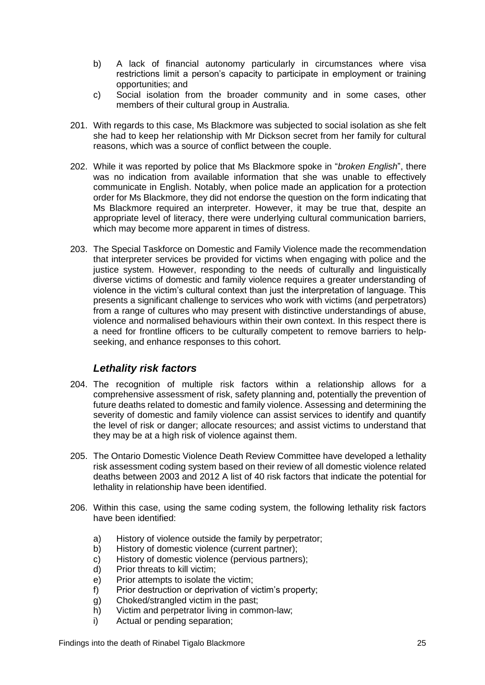- b) A lack of financial autonomy particularly in circumstances where visa restrictions limit a person's capacity to participate in employment or training opportunities; and
- c) Social isolation from the broader community and in some cases, other members of their cultural group in Australia.
- 201. With regards to this case, Ms Blackmore was subjected to social isolation as she felt she had to keep her relationship with Mr Dickson secret from her family for cultural reasons, which was a source of conflict between the couple.
- 202. While it was reported by police that Ms Blackmore spoke in "*broken English*", there was no indication from available information that she was unable to effectively communicate in English. Notably, when police made an application for a protection order for Ms Blackmore, they did not endorse the question on the form indicating that Ms Blackmore required an interpreter. However, it may be true that, despite an appropriate level of literacy, there were underlying cultural communication barriers, which may become more apparent in times of distress.
- 203. The Special Taskforce on Domestic and Family Violence made the recommendation that interpreter services be provided for victims when engaging with police and the justice system. However, responding to the needs of culturally and linguistically diverse victims of domestic and family violence requires a greater understanding of violence in the victim's cultural context than just the interpretation of language. This presents a significant challenge to services who work with victims (and perpetrators) from a range of cultures who may present with distinctive understandings of abuse, violence and normalised behaviours within their own context. In this respect there is a need for frontline officers to be culturally competent to remove barriers to helpseeking, and enhance responses to this cohort.

# *Lethality risk factors*

- <span id="page-26-0"></span>204. The recognition of multiple risk factors within a relationship allows for a comprehensive assessment of risk, safety planning and, potentially the prevention of future deaths related to domestic and family violence. Assessing and determining the severity of domestic and family violence can assist services to identify and quantify the level of risk or danger; allocate resources; and assist victims to understand that they may be at a high risk of violence against them.
- 205. The Ontario Domestic Violence Death Review Committee have developed a lethality risk assessment coding system based on their review of all domestic violence related deaths between 2003 and 2012 A list of 40 risk factors that indicate the potential for lethality in relationship have been identified.
- 206. Within this case, using the same coding system, the following lethality risk factors have been identified:
	- a) History of violence outside the family by perpetrator;
	- b) History of domestic violence (current partner);
	- c) History of domestic violence (pervious partners);
	- d) Prior threats to kill victim;
	- e) Prior attempts to isolate the victim;
	- f) Prior destruction or deprivation of victim's property;
	- g) Choked/strangled victim in the past;
	- h) Victim and perpetrator living in common-law;
	- i) Actual or pending separation;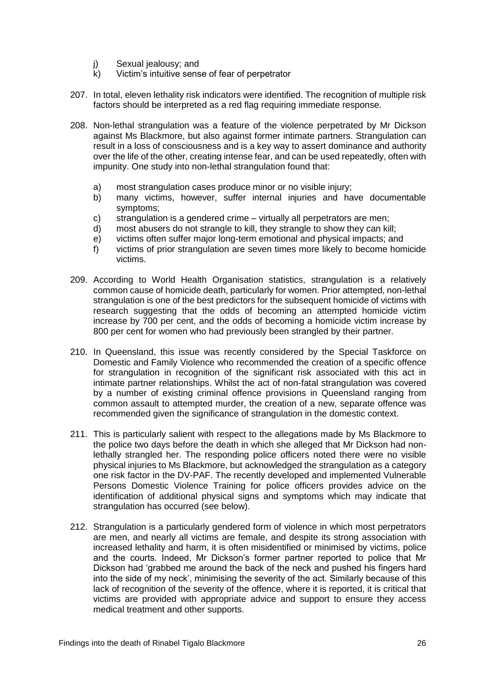- j) Sexual jealousy; and
- k) Victim's intuitive sense of fear of perpetrator
- 207. In total, eleven lethality risk indicators were identified. The recognition of multiple risk factors should be interpreted as a red flag requiring immediate response.
- 208. Non-lethal strangulation was a feature of the violence perpetrated by Mr Dickson against Ms Blackmore, but also against former intimate partners. Strangulation can result in a loss of consciousness and is a key way to assert dominance and authority over the life of the other, creating intense fear, and can be used repeatedly, often with impunity. One study into non-lethal strangulation found that:
	- a) most strangulation cases produce minor or no visible injury;
	- b) many victims, however, suffer internal injuries and have documentable symptoms;
	- c) strangulation is a gendered crime virtually all perpetrators are men;
	- d) most abusers do not strangle to kill, they strangle to show they can kill;
	- e) victims often suffer major long-term emotional and physical impacts; and
	- f) victims of prior strangulation are seven times more likely to become homicide victims.
- 209. According to World Health Organisation statistics, strangulation is a relatively common cause of homicide death, particularly for women. Prior attempted, non-lethal strangulation is one of the best predictors for the subsequent homicide of victims with research suggesting that the odds of becoming an attempted homicide victim increase by 700 per cent, and the odds of becoming a homicide victim increase by 800 per cent for women who had previously been strangled by their partner.
- 210. In Queensland, this issue was recently considered by the Special Taskforce on Domestic and Family Violence who recommended the creation of a specific offence for strangulation in recognition of the significant risk associated with this act in intimate partner relationships. Whilst the act of non-fatal strangulation was covered by a number of existing criminal offence provisions in Queensland ranging from common assault to attempted murder, the creation of a new, separate offence was recommended given the significance of strangulation in the domestic context.
- 211. This is particularly salient with respect to the allegations made by Ms Blackmore to the police two days before the death in which she alleged that Mr Dickson had nonlethally strangled her. The responding police officers noted there were no visible physical injuries to Ms Blackmore, but acknowledged the strangulation as a category one risk factor in the DV-PAF. The recently developed and implemented Vulnerable Persons Domestic Violence Training for police officers provides advice on the identification of additional physical signs and symptoms which may indicate that strangulation has occurred (see below).
- 212. Strangulation is a particularly gendered form of violence in which most perpetrators are men, and nearly all victims are female, and despite its strong association with increased lethality and harm, it is often misidentified or minimised by victims, police and the courts. Indeed, Mr Dickson's former partner reported to police that Mr Dickson had 'grabbed me around the back of the neck and pushed his fingers hard into the side of my neck', minimising the severity of the act. Similarly because of this lack of recognition of the severity of the offence, where it is reported, it is critical that victims are provided with appropriate advice and support to ensure they access medical treatment and other supports.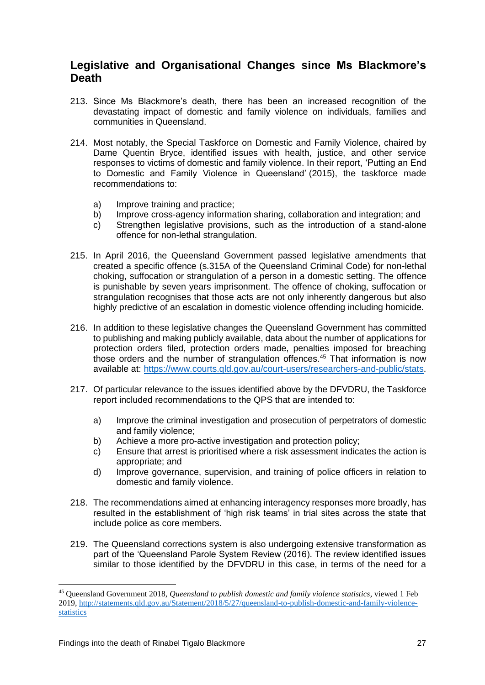# <span id="page-28-0"></span>**Legislative and Organisational Changes since Ms Blackmore's Death**

- 213. Since Ms Blackmore's death, there has been an increased recognition of the devastating impact of domestic and family violence on individuals, families and communities in Queensland.
- 214. Most notably, the Special Taskforce on Domestic and Family Violence, chaired by Dame Quentin Bryce, identified issues with health, justice, and other service responses to victims of domestic and family violence. In their report, 'Putting an End to Domestic and Family Violence in Queensland' (2015), the taskforce made recommendations to:
	- a) Improve training and practice;
	- b) Improve cross-agency information sharing, collaboration and integration; and
	- c) Strengthen legislative provisions, such as the introduction of a stand-alone offence for non-lethal strangulation.
- 215. In April 2016, the Queensland Government passed legislative amendments that created a specific offence (s.315A of the Queensland Criminal Code) for non-lethal choking, suffocation or strangulation of a person in a domestic setting. The offence is punishable by seven years imprisonment. The offence of choking, suffocation or strangulation recognises that those acts are not only inherently dangerous but also highly predictive of an escalation in domestic violence offending including homicide.
- 216. In addition to these legislative changes the Queensland Government has committed to publishing and making publicly available, data about the number of applications for protection orders filed, protection orders made, penalties imposed for breaching those orders and the number of strangulation offences.<sup>45</sup> That information is now available at: [https://www.courts.qld.gov.au/court-users/researchers-and-public/stats.](https://www.courts.qld.gov.au/court-users/researchers-and-public/stats)
- 217. Of particular relevance to the issues identified above by the DFVDRU, the Taskforce report included recommendations to the QPS that are intended to:
	- a) Improve the criminal investigation and prosecution of perpetrators of domestic and family violence;
	- b) Achieve a more pro-active investigation and protection policy;
	- c) Ensure that arrest is prioritised where a risk assessment indicates the action is appropriate; and
	- d) Improve governance, supervision, and training of police officers in relation to domestic and family violence.
- 218. The recommendations aimed at enhancing interagency responses more broadly, has resulted in the establishment of 'high risk teams' in trial sites across the state that include police as core members.
- 219. The Queensland corrections system is also undergoing extensive transformation as part of the 'Queensland Parole System Review (2016). The review identified issues similar to those identified by the DFVDRU in this case, in terms of the need for a

1

<sup>45</sup> Queensland Government 2018, *Queensland to publish domestic and family violence statistics*, viewed 1 Feb 2019, [http://statements.qld.gov.au/Statement/2018/5/27/queensland-to-publish-domestic-and-family-violence](http://statements.qld.gov.au/Statement/2018/5/27/queensland-to-publish-domestic-and-family-violence-statistics)[statistics](http://statements.qld.gov.au/Statement/2018/5/27/queensland-to-publish-domestic-and-family-violence-statistics)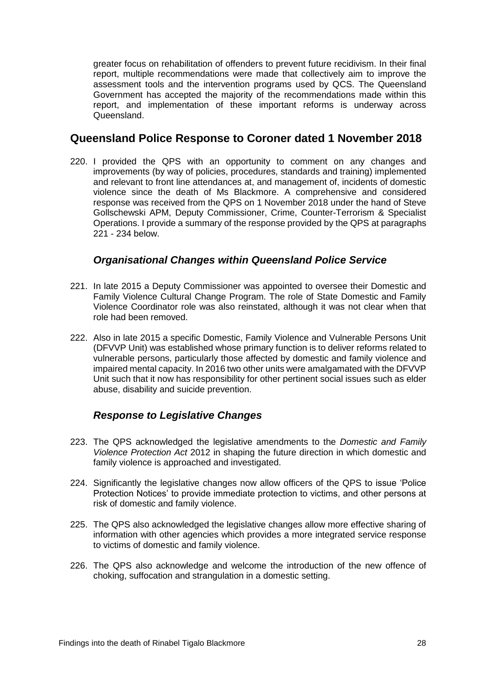greater focus on rehabilitation of offenders to prevent future recidivism. In their final report, multiple recommendations were made that collectively aim to improve the assessment tools and the intervention programs used by QCS. The Queensland Government has accepted the majority of the recommendations made within this report, and implementation of these important reforms is underway across Queensland.

# <span id="page-29-0"></span>**Queensland Police Response to Coroner dated 1 November 2018**

220. I provided the QPS with an opportunity to comment on any changes and improvements (by way of policies, procedures, standards and training) implemented and relevant to front line attendances at, and management of, incidents of domestic violence since the death of Ms Blackmore. A comprehensive and considered response was received from the QPS on 1 November 2018 under the hand of Steve Gollschewski APM, Deputy Commissioner, Crime, Counter-Terrorism & Specialist Operations. I provide a summary of the response provided by the QPS at paragraphs 221 - 234 below.

#### *Organisational Changes within Queensland Police Service*

- <span id="page-29-1"></span>221. In late 2015 a Deputy Commissioner was appointed to oversee their Domestic and Family Violence Cultural Change Program. The role of State Domestic and Family Violence Coordinator role was also reinstated, although it was not clear when that role had been removed.
- 222. Also in late 2015 a specific Domestic, Family Violence and Vulnerable Persons Unit (DFVVP Unit) was established whose primary function is to deliver reforms related to vulnerable persons, particularly those affected by domestic and family violence and impaired mental capacity. In 2016 two other units were amalgamated with the DFVVP Unit such that it now has responsibility for other pertinent social issues such as elder abuse, disability and suicide prevention.

# *Response to Legislative Changes*

- <span id="page-29-2"></span>223. The QPS acknowledged the legislative amendments to the *Domestic and Family Violence Protection Act* 2012 in shaping the future direction in which domestic and family violence is approached and investigated.
- 224. Significantly the legislative changes now allow officers of the QPS to issue 'Police Protection Notices' to provide immediate protection to victims, and other persons at risk of domestic and family violence.
- 225. The QPS also acknowledged the legislative changes allow more effective sharing of information with other agencies which provides a more integrated service response to victims of domestic and family violence.
- 226. The QPS also acknowledge and welcome the introduction of the new offence of choking, suffocation and strangulation in a domestic setting.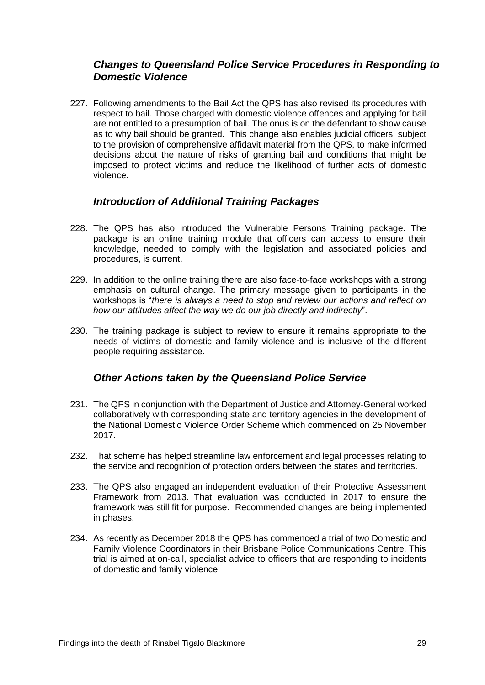#### <span id="page-30-0"></span>*Changes to Queensland Police Service Procedures in Responding to Domestic Violence*

227. Following amendments to the Bail Act the QPS has also revised its procedures with respect to bail. Those charged with domestic violence offences and applying for bail are not entitled to a presumption of bail. The onus is on the defendant to show cause as to why bail should be granted. This change also enables judicial officers, subject to the provision of comprehensive affidavit material from the QPS, to make informed decisions about the nature of risks of granting bail and conditions that might be imposed to protect victims and reduce the likelihood of further acts of domestic violence.

#### *Introduction of Additional Training Packages*

- <span id="page-30-1"></span>228. The QPS has also introduced the Vulnerable Persons Training package. The package is an online training module that officers can access to ensure their knowledge, needed to comply with the legislation and associated policies and procedures, is current.
- 229. In addition to the online training there are also face-to-face workshops with a strong emphasis on cultural change. The primary message given to participants in the workshops is "*there is always a need to stop and review our actions and reflect on how our attitudes affect the way we do our job directly and indirectly*".
- 230. The training package is subject to review to ensure it remains appropriate to the needs of victims of domestic and family violence and is inclusive of the different people requiring assistance.

#### *Other Actions taken by the Queensland Police Service*

- <span id="page-30-2"></span>231. The QPS in conjunction with the Department of Justice and Attorney-General worked collaboratively with corresponding state and territory agencies in the development of the National Domestic Violence Order Scheme which commenced on 25 November 2017.
- 232. That scheme has helped streamline law enforcement and legal processes relating to the service and recognition of protection orders between the states and territories.
- 233. The QPS also engaged an independent evaluation of their Protective Assessment Framework from 2013. That evaluation was conducted in 2017 to ensure the framework was still fit for purpose. Recommended changes are being implemented in phases.
- 234. As recently as December 2018 the QPS has commenced a trial of two Domestic and Family Violence Coordinators in their Brisbane Police Communications Centre. This trial is aimed at on-call, specialist advice to officers that are responding to incidents of domestic and family violence.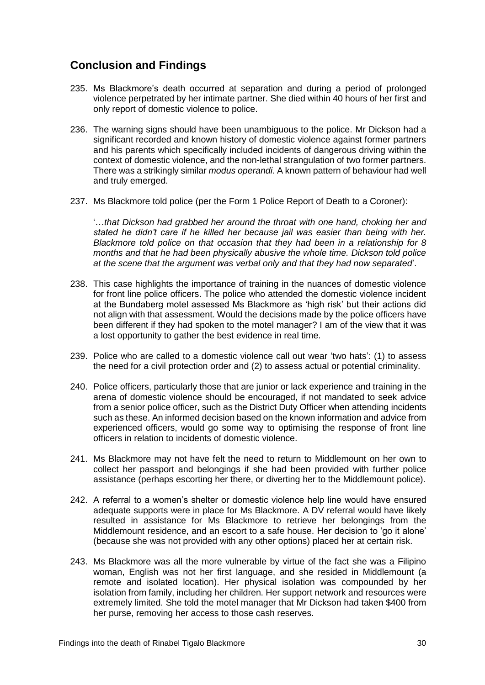# <span id="page-31-0"></span>**Conclusion and Findings**

- 235. Ms Blackmore's death occurred at separation and during a period of prolonged violence perpetrated by her intimate partner. She died within 40 hours of her first and only report of domestic violence to police.
- 236. The warning signs should have been unambiguous to the police. Mr Dickson had a significant recorded and known history of domestic violence against former partners and his parents which specifically included incidents of dangerous driving within the context of domestic violence, and the non-lethal strangulation of two former partners. There was a strikingly similar *modus operandi*. A known pattern of behaviour had well and truly emerged.
- 237. Ms Blackmore told police (per the Form 1 Police Report of Death to a Coroner):

'…*that Dickson had grabbed her around the throat with one hand, choking her and stated he didn't care if he killed her because jail was easier than being with her. Blackmore told police on that occasion that they had been in a relationship for 8 months and that he had been physically abusive the whole time. Dickson told police at the scene that the argument was verbal only and that they had now separated*'.

- 238. This case highlights the importance of training in the nuances of domestic violence for front line police officers. The police who attended the domestic violence incident at the Bundaberg motel assessed Ms Blackmore as 'high risk' but their actions did not align with that assessment. Would the decisions made by the police officers have been different if they had spoken to the motel manager? I am of the view that it was a lost opportunity to gather the best evidence in real time.
- 239. Police who are called to a domestic violence call out wear 'two hats': (1) to assess the need for a civil protection order and (2) to assess actual or potential criminality.
- 240. Police officers, particularly those that are junior or lack experience and training in the arena of domestic violence should be encouraged, if not mandated to seek advice from a senior police officer, such as the District Duty Officer when attending incidents such as these. An informed decision based on the known information and advice from experienced officers, would go some way to optimising the response of front line officers in relation to incidents of domestic violence.
- 241. Ms Blackmore may not have felt the need to return to Middlemount on her own to collect her passport and belongings if she had been provided with further police assistance (perhaps escorting her there, or diverting her to the Middlemount police).
- 242. A referral to a women's shelter or domestic violence help line would have ensured adequate supports were in place for Ms Blackmore. A DV referral would have likely resulted in assistance for Ms Blackmore to retrieve her belongings from the Middlemount residence, and an escort to a safe house. Her decision to 'go it alone' (because she was not provided with any other options) placed her at certain risk.
- 243. Ms Blackmore was all the more vulnerable by virtue of the fact she was a Filipino woman, English was not her first language, and she resided in Middlemount (a remote and isolated location). Her physical isolation was compounded by her isolation from family, including her children. Her support network and resources were extremely limited. She told the motel manager that Mr Dickson had taken \$400 from her purse, removing her access to those cash reserves.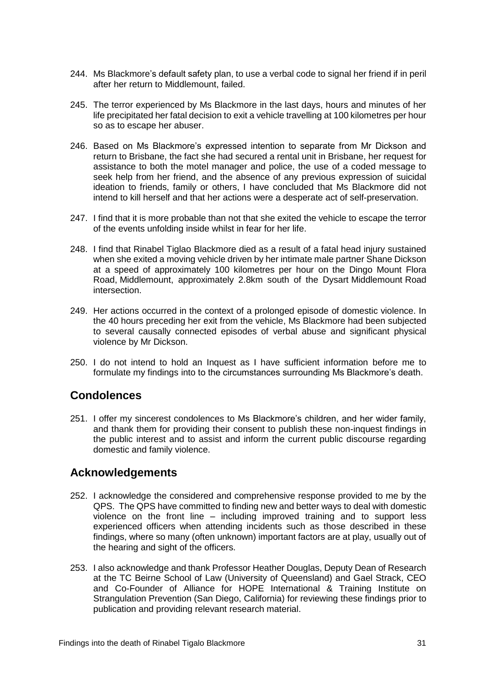- 244. Ms Blackmore's default safety plan, to use a verbal code to signal her friend if in peril after her return to Middlemount, failed.
- 245. The terror experienced by Ms Blackmore in the last days, hours and minutes of her life precipitated her fatal decision to exit a vehicle travelling at 100 kilometres per hour so as to escape her abuser.
- 246. Based on Ms Blackmore's expressed intention to separate from Mr Dickson and return to Brisbane, the fact she had secured a rental unit in Brisbane, her request for assistance to both the motel manager and police, the use of a coded message to seek help from her friend, and the absence of any previous expression of suicidal ideation to friends, family or others, I have concluded that Ms Blackmore did not intend to kill herself and that her actions were a desperate act of self-preservation.
- 247. I find that it is more probable than not that she exited the vehicle to escape the terror of the events unfolding inside whilst in fear for her life.
- 248. I find that Rinabel Tiglao Blackmore died as a result of a fatal head injury sustained when she exited a moving vehicle driven by her intimate male partner Shane Dickson at a speed of approximately 100 kilometres per hour on the Dingo Mount Flora Road, Middlemount, approximately 2.8km south of the Dysart Middlemount Road intersection.
- 249. Her actions occurred in the context of a prolonged episode of domestic violence. In the 40 hours preceding her exit from the vehicle, Ms Blackmore had been subjected to several causally connected episodes of verbal abuse and significant physical violence by Mr Dickson.
- 250. I do not intend to hold an Inquest as I have sufficient information before me to formulate my findings into to the circumstances surrounding Ms Blackmore's death.

# <span id="page-32-0"></span>**Condolences**

251. I offer my sincerest condolences to Ms Blackmore's children, and her wider family, and thank them for providing their consent to publish these non-inquest findings in the public interest and to assist and inform the current public discourse regarding domestic and family violence.

#### <span id="page-32-1"></span>**Acknowledgements**

- 252. I acknowledge the considered and comprehensive response provided to me by the QPS. The QPS have committed to finding new and better ways to deal with domestic violence on the front line – including improved training and to support less experienced officers when attending incidents such as those described in these findings, where so many (often unknown) important factors are at play, usually out of the hearing and sight of the officers.
- 253. I also acknowledge and thank Professor Heather Douglas, Deputy Dean of Research at the TC Beirne School of Law (University of Queensland) and Gael Strack, CEO and Co-Founder of Alliance for HOPE International & Training Institute on Strangulation Prevention (San Diego, California) for reviewing these findings prior to publication and providing relevant research material.